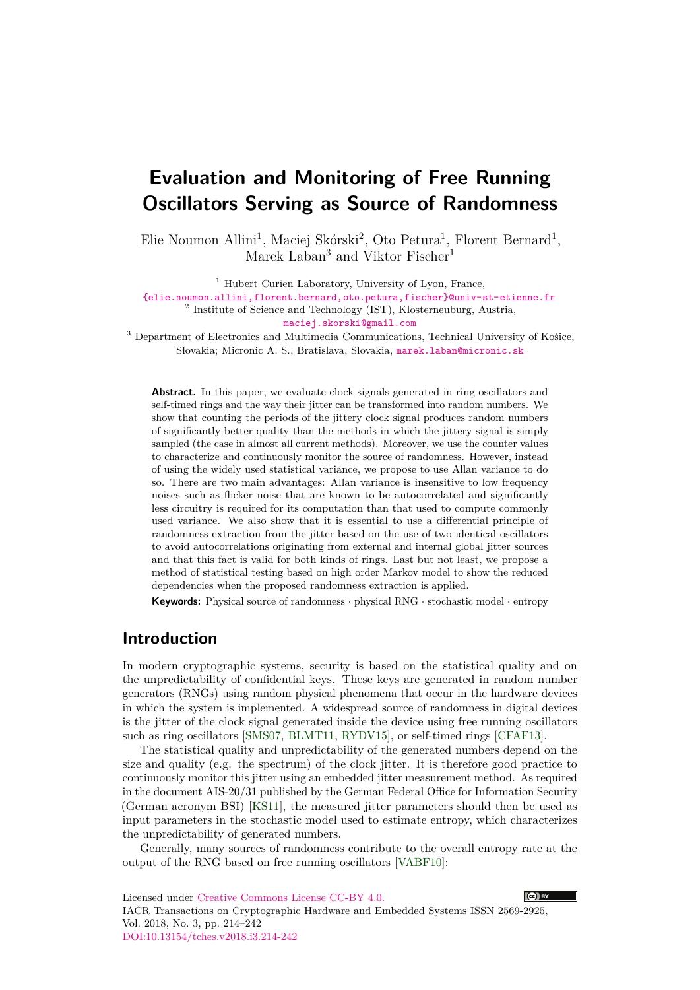# <span id="page-0-0"></span>**Evaluation and Monitoring of Free Running Oscillators Serving as Source of Randomness**

Elie Noumon Allini<sup>1</sup>, Maciej Skórski<sup>2</sup>, Oto Petura<sup>1</sup>, Florent Bernard<sup>1</sup>, Marek Laban<sup>3</sup> and Viktor Fischer<sup>1</sup>

<sup>1</sup> Hubert Curien Laboratory, University of Lyon, France,

[{elie.noumon.allini,florent.bernard,oto.petura,fischer}@univ-st-etienne.fr](mailto:elie.noumon.allini@univ-st-etienne.fr,florent.bernard@univ-st-etienne.fr,oto.petura@univ-st-etienne.fr,fischer@univ-st-etienne.fr) <sup>2</sup> Institute of Science and Technology (IST), Klosterneuburg, Austria,

[maciej.skorski@gmail.com](mailto:maciej.skorski@gmail.com)

<sup>3</sup> Department of Electronics and Multimedia Communications, Technical University of Košice, Slovakia; Micronic A. S., Bratislava, Slovakia, [marek.laban@micronic.sk](mailto:marek.laban@micronic.sk)

Abstract. In this paper, we evaluate clock signals generated in ring oscillators and self-timed rings and the way their jitter can be transformed into random numbers. We show that counting the periods of the jittery clock signal produces random numbers of significantly better quality than the methods in which the jittery signal is simply sampled (the case in almost all current methods). Moreover, we use the counter values to characterize and continuously monitor the source of randomness. However, instead of using the widely used statistical variance, we propose to use Allan variance to do so. There are two main advantages: Allan variance is insensitive to low frequency noises such as flicker noise that are known to be autocorrelated and significantly less circuitry is required for its computation than that used to compute commonly used variance. We also show that it is essential to use a differential principle of randomness extraction from the jitter based on the use of two identical oscillators to avoid autocorrelations originating from external and internal global jitter sources and that this fact is valid for both kinds of rings. Last but not least, we propose a method of statistical testing based on high order Markov model to show the reduced dependencies when the proposed randomness extraction is applied.

**Keywords:** Physical source of randomness · physical RNG · stochastic model · entropy

## **Introduction**

In modern cryptographic systems, security is based on the statistical quality and on the unpredictability of confidential keys. These keys are generated in random number generators (RNGs) using random physical phenomena that occur in the hardware devices in which the system is implemented. A widespread source of randomness in digital devices is the jitter of the clock signal generated inside the device using free running oscillators such as ring oscillators [\[SMS07,](#page-21-0) [BLMT11,](#page-19-0) [RYDV15\]](#page-21-1), or self-timed rings [\[CFAF13\]](#page-19-1).

The statistical quality and unpredictability of the generated numbers depend on the size and quality (e.g. the spectrum) of the clock jitter. It is therefore good practice to continuously monitor this jitter using an embedded jitter measurement method. As required in the document AIS-20/31 published by the German Federal Office for Information Security (German acronym BSI) [\[KS11\]](#page-20-0), the measured jitter parameters should then be used as input parameters in the stochastic model used to estimate entropy, which characterizes the unpredictability of generated numbers.

Generally, many sources of randomness contribute to the overall entropy rate at the output of the RNG based on free running oscillators [\[VABF10\]](#page-21-2):

Licensed under [Creative Commons License CC-BY 4.0.](http://creativecommons.org/licenses/by/4.0/) IACR Transactions on Cryptographic Hardware and Embedded Systems ISSN 2569-2925, Vol. 2018, No. 3, pp. 214–242 [DOI:10.13154/tches.v2018.i3.214-242](https://doi.org/10.13154/tches.v2018.i3.214-242)

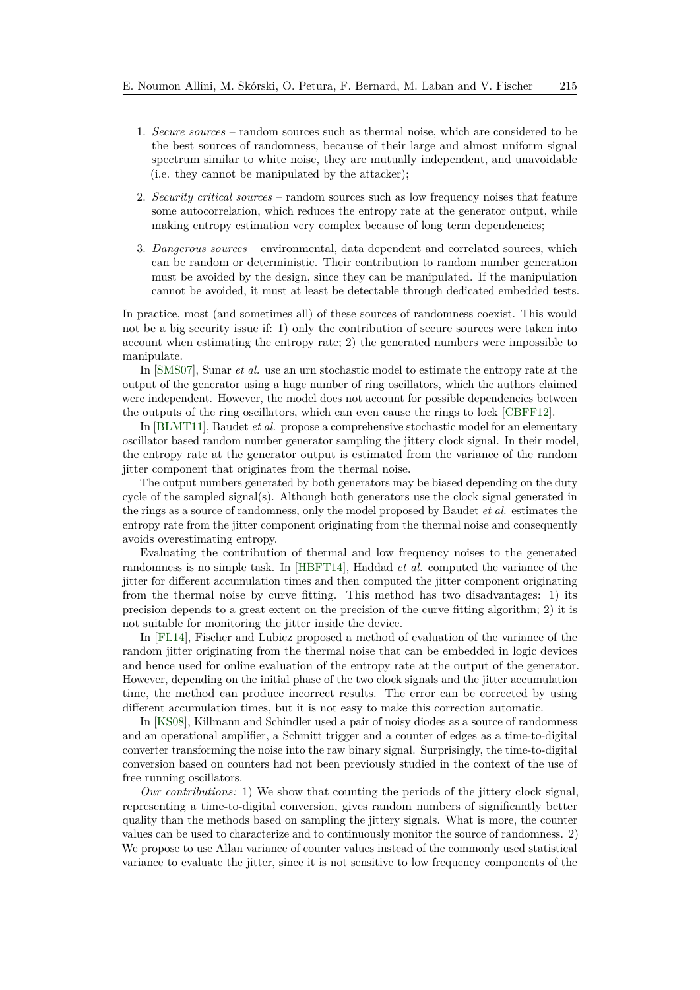- 1. *Secure sources* random sources such as thermal noise, which are considered to be the best sources of randomness, because of their large and almost uniform signal spectrum similar to white noise, they are mutually independent, and unavoidable (i.e. they cannot be manipulated by the attacker);
- 2. *Security critical sources* random sources such as low frequency noises that feature some autocorrelation, which reduces the entropy rate at the generator output, while making entropy estimation very complex because of long term dependencies;
- 3. *Dangerous sources* environmental, data dependent and correlated sources, which can be random or deterministic. Their contribution to random number generation must be avoided by the design, since they can be manipulated. If the manipulation cannot be avoided, it must at least be detectable through dedicated embedded tests.

In practice, most (and sometimes all) of these sources of randomness coexist. This would not be a big security issue if: 1) only the contribution of secure sources were taken into account when estimating the entropy rate; 2) the generated numbers were impossible to manipulate.

In [\[SMS07\]](#page-21-0), Sunar *et al.* use an urn stochastic model to estimate the entropy rate at the output of the generator using a huge number of ring oscillators, which the authors claimed were independent. However, the model does not account for possible dependencies between the outputs of the ring oscillators, which can even cause the rings to lock [\[CBFF12\]](#page-19-2).

In [\[BLMT11\]](#page-19-0), Baudet *et al.* propose a comprehensive stochastic model for an elementary oscillator based random number generator sampling the jittery clock signal. In their model, the entropy rate at the generator output is estimated from the variance of the random jitter component that originates from the thermal noise.

The output numbers generated by both generators may be biased depending on the duty cycle of the sampled signal(s). Although both generators use the clock signal generated in the rings as a source of randomness, only the model proposed by Baudet *et al.* estimates the entropy rate from the jitter component originating from the thermal noise and consequently avoids overestimating entropy.

Evaluating the contribution of thermal and low frequency noises to the generated randomness is no simple task. In [\[HBFT14\]](#page-20-1), Haddad *et al.* computed the variance of the jitter for different accumulation times and then computed the jitter component originating from the thermal noise by curve fitting. This method has two disadvantages: 1) its precision depends to a great extent on the precision of the curve fitting algorithm; 2) it is not suitable for monitoring the jitter inside the device.

In [\[FL14\]](#page-20-2), Fischer and Lubicz proposed a method of evaluation of the variance of the random jitter originating from the thermal noise that can be embedded in logic devices and hence used for online evaluation of the entropy rate at the output of the generator. However, depending on the initial phase of the two clock signals and the jitter accumulation time, the method can produce incorrect results. The error can be corrected by using different accumulation times, but it is not easy to make this correction automatic.

In [\[KS08\]](#page-20-3), Killmann and Schindler used a pair of noisy diodes as a source of randomness and an operational amplifier, a Schmitt trigger and a counter of edges as a time-to-digital converter transforming the noise into the raw binary signal. Surprisingly, the time-to-digital conversion based on counters had not been previously studied in the context of the use of free running oscillators.

*Our contributions:* 1) We show that counting the periods of the jittery clock signal, representing a time-to-digital conversion, gives random numbers of significantly better quality than the methods based on sampling the jittery signals. What is more, the counter values can be used to characterize and to continuously monitor the source of randomness. 2) We propose to use Allan variance of counter values instead of the commonly used statistical variance to evaluate the jitter, since it is not sensitive to low frequency components of the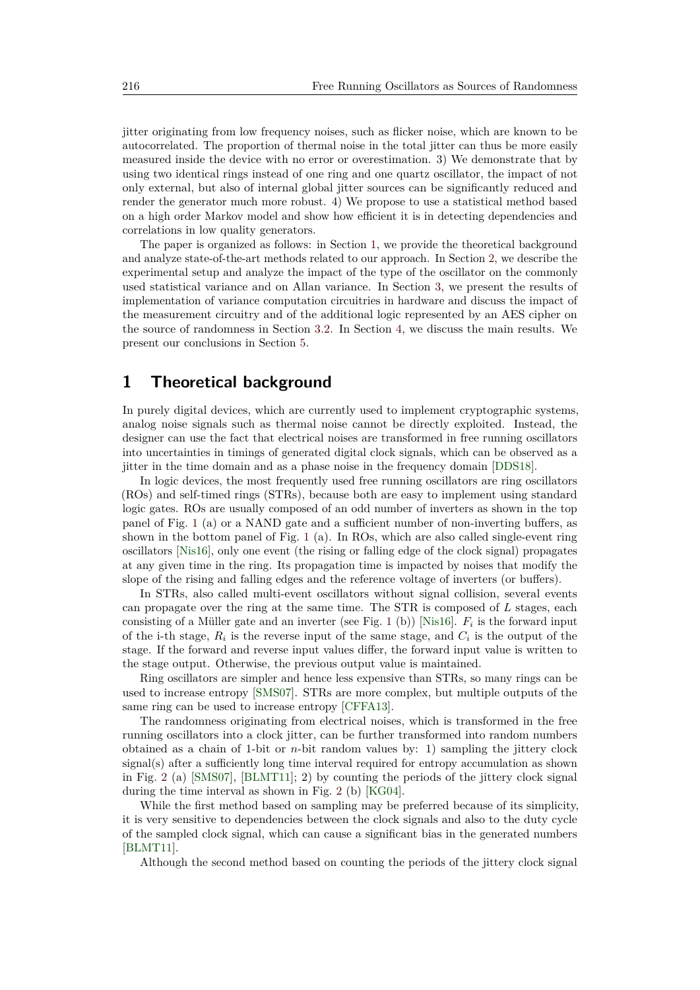jitter originating from low frequency noises, such as flicker noise, which are known to be autocorrelated. The proportion of thermal noise in the total jitter can thus be more easily measured inside the device with no error or overestimation. 3) We demonstrate that by using two identical rings instead of one ring and one quartz oscillator, the impact of not only external, but also of internal global jitter sources can be significantly reduced and render the generator much more robust. 4) We propose to use a statistical method based on a high order Markov model and show how efficient it is in detecting dependencies and correlations in low quality generators.

The paper is organized as follows: in Section [1,](#page-2-0) we provide the theoretical background and analyze state-of-the-art methods related to our approach. In Section [2,](#page-8-0) we describe the experimental setup and analyze the impact of the type of the oscillator on the commonly used statistical variance and on Allan variance. In Section [3,](#page-13-0) we present the results of implementation of variance computation circuitries in hardware and discuss the impact of the measurement circuitry and of the additional logic represented by an AES cipher on the source of randomness in Section [3.2.](#page-15-0) In Section [4,](#page-18-0) we discuss the main results. We present our conclusions in Section [5.](#page-19-3)

## <span id="page-2-0"></span>**1 Theoretical background**

In purely digital devices, which are currently used to implement cryptographic systems, analog noise signals such as thermal noise cannot be directly exploited. Instead, the designer can use the fact that electrical noises are transformed in free running oscillators into uncertainties in timings of generated digital clock signals, which can be observed as a jitter in the time domain and as a phase noise in the frequency domain [\[DDS18\]](#page-20-4).

In logic devices, the most frequently used free running oscillators are ring oscillators (ROs) and self-timed rings (STRs), because both are easy to implement using standard logic gates. ROs are usually composed of an odd number of inverters as shown in the top panel of Fig. [1](#page-3-0) (a) or a NAND gate and a sufficient number of non-inverting buffers, as shown in the bottom panel of Fig. [1](#page-3-0) (a). In ROs, which are also called single-event ring oscillators [\[Nis16\]](#page-21-3), only one event (the rising or falling edge of the clock signal) propagates at any given time in the ring. Its propagation time is impacted by noises that modify the slope of the rising and falling edges and the reference voltage of inverters (or buffers).

In STRs, also called multi-event oscillators without signal collision, several events can propagate over the ring at the same time. The STR is composed of *L* stages, each consisting of a Müller gate and an inverter (see Fig. [1](#page-3-0) (b)) [\[Nis16\]](#page-21-3). *F<sup>i</sup>* is the forward input of the i-th stage,  $R_i$  is the reverse input of the same stage, and  $C_i$  is the output of the stage. If the forward and reverse input values differ, the forward input value is written to the stage output. Otherwise, the previous output value is maintained.

Ring oscillators are simpler and hence less expensive than STRs, so many rings can be used to increase entropy [\[SMS07\]](#page-21-0). STRs are more complex, but multiple outputs of the same ring can be used to increase entropy [\[CFFA13\]](#page-20-5).

The randomness originating from electrical noises, which is transformed in the free running oscillators into a clock jitter, can be further transformed into random numbers obtained as a chain of 1-bit or *n*-bit random values by: 1) sampling the jittery clock signal(s) after a sufficiently long time interval required for entropy accumulation as shown in Fig. [2](#page-3-1) (a) [\[SMS07\]](#page-21-0), [\[BLMT11\]](#page-19-0); 2) by counting the periods of the jittery clock signal during the time interval as shown in Fig. [2](#page-3-1) (b) [\[KG04\]](#page-20-6).

While the first method based on sampling may be preferred because of its simplicity, it is very sensitive to dependencies between the clock signals and also to the duty cycle of the sampled clock signal, which can cause a significant bias in the generated numbers [\[BLMT11\]](#page-19-0).

Although the second method based on counting the periods of the jittery clock signal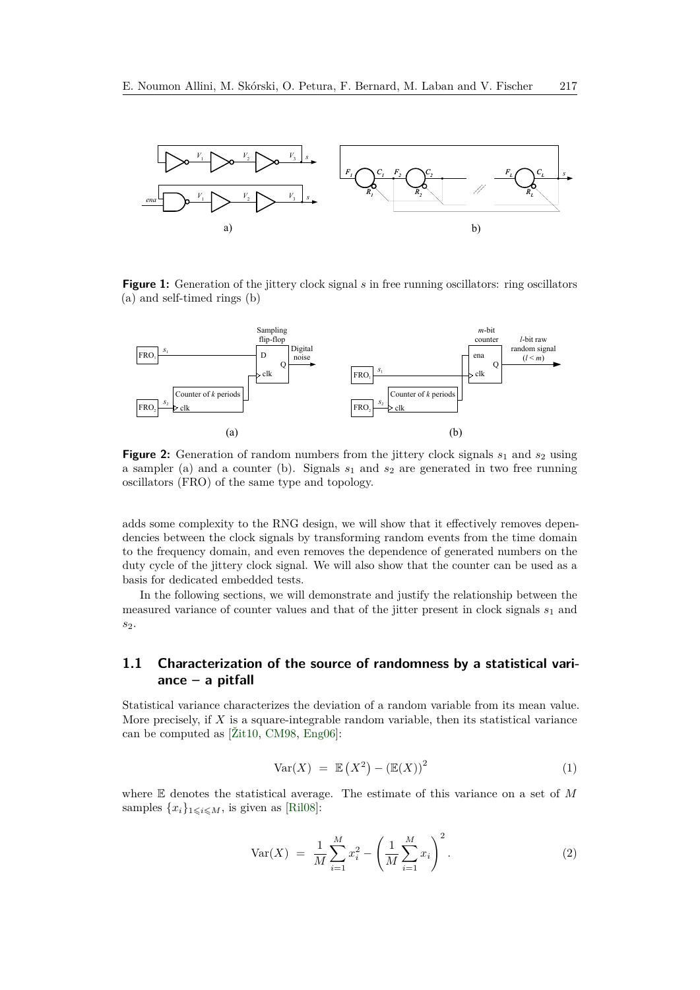<span id="page-3-0"></span>

**Figure 1:** Generation of the jittery clock signal *s* in free running oscillators: ring oscillators (a) and self-timed rings (b)

<span id="page-3-1"></span>

**Figure 2:** Generation of random numbers from the jittery clock signals  $s_1$  and  $s_2$  using a sampler (a) and a counter (b). Signals *s*<sup>1</sup> and *s*<sup>2</sup> are generated in two free running oscillators (FRO) of the same type and topology.

adds some complexity to the RNG design, we will show that it effectively removes dependencies between the clock signals by transforming random events from the time domain to the frequency domain, and even removes the dependence of generated numbers on the duty cycle of the jittery clock signal. We will also show that the counter can be used as a basis for dedicated embedded tests.

In the following sections, we will demonstrate and justify the relationship between the measured variance of counter values and that of the jitter present in clock signals *s*<sup>1</sup> and *s*2.

### **1.1 Characterization of the source of randomness by a statistical variance – a pitfall**

Statistical variance characterizes the deviation of a random variable from its mean value. More precisely, if *X* is a square-integrable random variable, then its statistical variance can be computed as [\[Žit10,](#page-21-4) [CM98,](#page-20-7) [Eng06\]](#page-20-8):

$$
Var(X) = \mathbb{E}(X^2) - (\mathbb{E}(X))^2 \tag{1}
$$

where E denotes the statistical average. The estimate of this variance on a set of *M* samples  $\{x_i\}_{1\leq i\leq M}$ , is given as [\[Ril08\]](#page-21-5):

<span id="page-3-2"></span>
$$
Var(X) = \frac{1}{M} \sum_{i=1}^{M} x_i^2 - \left(\frac{1}{M} \sum_{i=1}^{M} x_i\right)^2.
$$
 (2)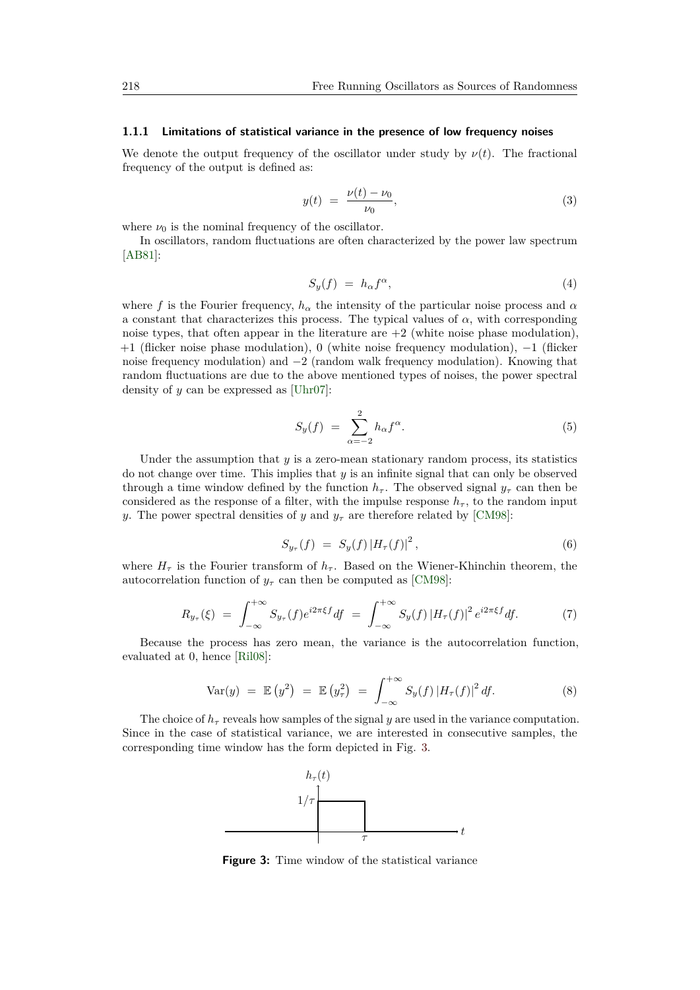#### **1.1.1 Limitations of statistical variance in the presence of low frequency noises**

We denote the output frequency of the oscillator under study by  $\nu(t)$ . The fractional frequency of the output is defined as:

$$
y(t) = \frac{\nu(t) - \nu_0}{\nu_0},
$$
\n(3)

where  $\nu_0$  is the nominal frequency of the oscillator.

In oscillators, random fluctuations are often characterized by the power law spectrum [\[AB81\]](#page-19-4):

$$
S_y(f) = h_{\alpha} f^{\alpha}, \tag{4}
$$

where *f* is the Fourier frequency,  $h_\alpha$  the intensity of the particular noise process and  $\alpha$ a constant that characterizes this process. The typical values of  $\alpha$ , with corresponding noise types, that often appear in the literature are  $+2$  (white noise phase modulation), +1 (flicker noise phase modulation), 0 (white noise frequency modulation), −1 (flicker noise frequency modulation) and −2 (random walk frequency modulation). Knowing that random fluctuations are due to the above mentioned types of noises, the power spectral density of *y* can be expressed as [\[Uhr07\]](#page-21-6):

$$
S_y(f) = \sum_{\alpha=-2}^{2} h_{\alpha} f^{\alpha}.
$$
 (5)

Under the assumption that  $y$  is a zero-mean stationary random process, its statistics do not change over time. This implies that *y* is an infinite signal that can only be observed through a time window defined by the function  $h_{\tau}$ . The observed signal  $y_{\tau}$  can then be considered as the response of a filter, with the impulse response  $h_{\tau}$ , to the random input *y*. The power spectral densities of *y* and  $y_\tau$  are therefore related by [\[CM98\]](#page-20-7):

$$
S_{y_{\tau}}(f) = S_y(f) |H_{\tau}(f)|^2, \qquad (6)
$$

where  $H<sub>\tau</sub>$  is the Fourier transform of  $h<sub>\tau</sub>$ . Based on the Wiener-Khinchin theorem, the autocorrelation function of  $y_\tau$  can then be computed as [\[CM98\]](#page-20-7):

$$
R_{y_{\tau}}(\xi) = \int_{-\infty}^{+\infty} S_{y_{\tau}}(f) e^{i2\pi\xi f} df = \int_{-\infty}^{+\infty} S_y(f) |H_{\tau}(f)|^2 e^{i2\pi\xi f} df.
$$
 (7)

Because the process has zero mean, the variance is the autocorrelation function, evaluated at 0, hence [\[Ril08\]](#page-21-5):

$$
\text{Var}(y) = \mathbb{E}\left(y^2\right) = \mathbb{E}\left(y_\tau^2\right) = \int_{-\infty}^{+\infty} S_y(f) \left|H_\tau(f)\right|^2 df. \tag{8}
$$

<span id="page-4-0"></span>The choice of  $h_{\tau}$  reveals how samples of the signal *y* are used in the variance computation. Since in the case of statistical variance, we are interested in consecutive samples, the corresponding time window has the form depicted in Fig. [3.](#page-4-0)



**Figure 3:** Time window of the statistical variance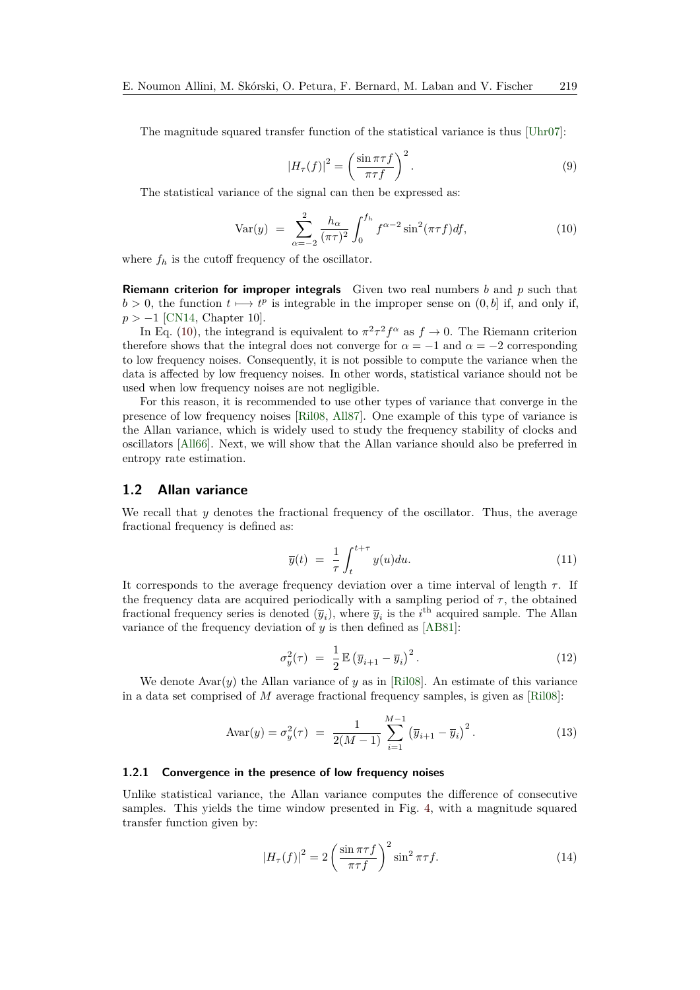The magnitude squared transfer function of the statistical variance is thus [\[Uhr07\]](#page-21-6):

$$
|H_{\tau}(f)|^2 = \left(\frac{\sin \pi \tau f}{\pi \tau f}\right)^2.
$$
 (9)

The statistical variance of the signal can then be expressed as:

<span id="page-5-0"></span>Var(y) = 
$$
\sum_{\alpha=-2}^{2} \frac{h_{\alpha}}{(\pi \tau)^2} \int_0^{f_h} f^{\alpha-2} \sin^2(\pi \tau f) df,
$$
 (10)

where  $f_h$  is the cutoff frequency of the oscillator.

**Riemann criterion for improper integrals** Given two real numbers *b* and *p* such that  $b > 0$ , the function  $t \mapsto t^p$  is integrable in the improper sense on  $(0, b]$  if, and only if, *p >* −1 [\[CN14,](#page-20-9) Chapter 10].

In Eq. [\(10\)](#page-5-0), the integrand is equivalent to  $\pi^2 \tau^2 f^{\alpha}$  as  $f \to 0$ . The Riemann criterion therefore shows that the integral does not converge for  $\alpha = -1$  and  $\alpha = -2$  corresponding to low frequency noises. Consequently, it is not possible to compute the variance when the data is affected by low frequency noises. In other words, statistical variance should not be used when low frequency noises are not negligible.

For this reason, it is recommended to use other types of variance that converge in the presence of low frequency noises [\[Ril08,](#page-21-5) [All87\]](#page-19-5). One example of this type of variance is the Allan variance, which is widely used to study the frequency stability of clocks and oscillators [\[All66\]](#page-19-6). Next, we will show that the Allan variance should also be preferred in entropy rate estimation.

#### **1.2 Allan variance**

We recall that *y* denotes the fractional frequency of the oscillator. Thus, the average fractional frequency is defined as:

$$
\overline{y}(t) = \frac{1}{\tau} \int_{t}^{t+\tau} y(u) du.
$$
\n(11)

It corresponds to the average frequency deviation over a time interval of length *τ* . If the frequency data are acquired periodically with a sampling period of  $\tau$ , the obtained fractional frequency series is denoted  $(\overline{y}_i)$ , where  $\overline{y}_i$  is the *i*<sup>th</sup> acquired sample. The Allan variance of the frequency deviation of *y* is then defined as [\[AB81\]](#page-19-4):

<span id="page-5-2"></span>
$$
\sigma_y^2(\tau) = \frac{1}{2} \mathbb{E} \left( \overline{y}_{i+1} - \overline{y}_i \right)^2.
$$
 (12)

We denote  $Avar(y)$  the Allan variance of y as in [\[Ril08\]](#page-21-5). An estimate of this variance in a data set comprised of *M* average fractional frequency samples, is given as [\[Ril08\]](#page-21-5):

<span id="page-5-1"></span>
$$
Avar(y) = \sigma_y^2(\tau) = \frac{1}{2(M-1)} \sum_{i=1}^{M-1} (\overline{y}_{i+1} - \overline{y}_i)^2.
$$
 (13)

#### **1.2.1 Convergence in the presence of low frequency noises**

Unlike statistical variance, the Allan variance computes the difference of consecutive samples. This yields the time window presented in Fig. [4,](#page-6-0) with a magnitude squared transfer function given by:

$$
|H_{\tau}(f)|^2 = 2\left(\frac{\sin \pi \tau f}{\pi \tau f}\right)^2 \sin^2 \pi \tau f. \tag{14}
$$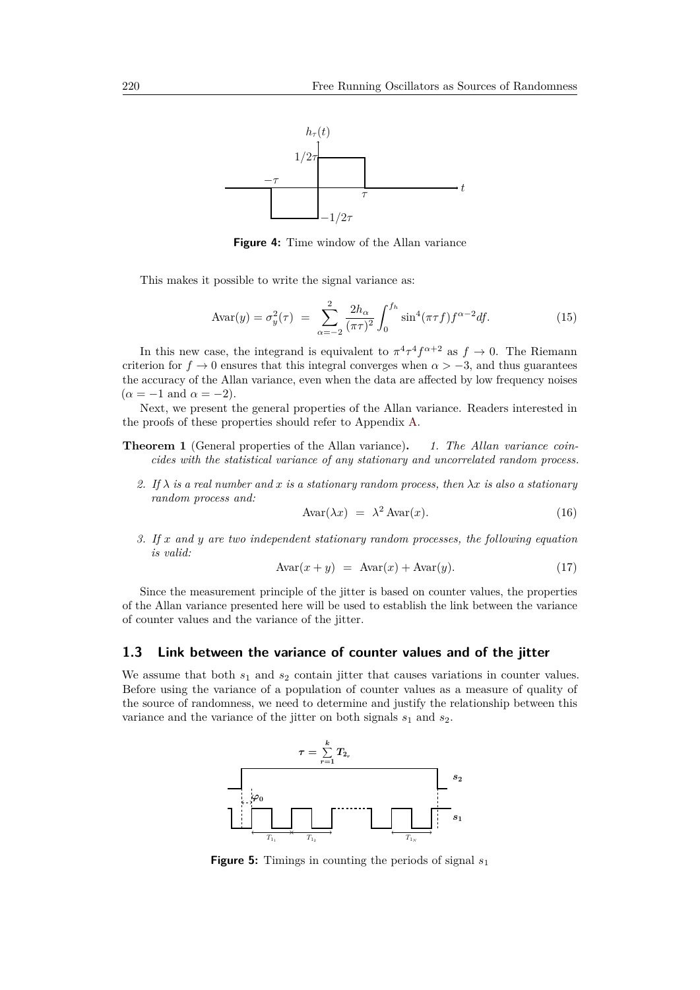<span id="page-6-0"></span>

**Figure 4:** Time window of the Allan variance

This makes it possible to write the signal variance as:

$$
Avar(y) = \sigma_y^2(\tau) = \sum_{\alpha=-2}^2 \frac{2h_{\alpha}}{(\pi \tau)^2} \int_0^{f_h} \sin^4(\pi \tau f) f^{\alpha-2} df.
$$
 (15)

In this new case, the integrand is equivalent to  $\pi^4 \tau^4 f^{\alpha+2}$  as  $f \to 0$ . The Riemann criterion for  $f \to 0$  ensures that this integral converges when  $\alpha > -3$ , and thus guarantees the accuracy of the Allan variance, even when the data are affected by low frequency noises  $(\alpha = -1 \text{ and } \alpha = -2).$ 

Next, we present the general properties of the Allan variance. Readers interested in the proofs of these properties should refer to Appendix [A.](#page-22-0)

- **Theorem 1** (General properties of the Allan variance)**.** *1. The Allan variance coincides with the statistical variance of any stationary and uncorrelated random process.*
	- 2. If  $\lambda$  *is a real number and x is a stationary random process, then*  $\lambda x$  *is also a stationary random process and:*

<span id="page-6-2"></span>
$$
Avar(\lambda x) = \lambda^2 Avar(x). \tag{16}
$$

*3. If x and y are two independent stationary random processes, the following equation is valid:*

<span id="page-6-3"></span>
$$
Avar(x + y) = Avar(x) + Avar(y).
$$
 (17)

Since the measurement principle of the jitter is based on counter values, the properties of the Allan variance presented here will be used to establish the link between the variance of counter values and the variance of the jitter.

#### **1.3 Link between the variance of counter values and of the jitter**

<span id="page-6-1"></span>We assume that both  $s_1$  and  $s_2$  contain jitter that causes variations in counter values. Before using the variance of a population of counter values as a measure of quality of the source of randomness, we need to determine and justify the relationship between this variance and the variance of the jitter on both signals  $s_1$  and  $s_2$ .



**Figure 5:** Timings in counting the periods of signal  $s_1$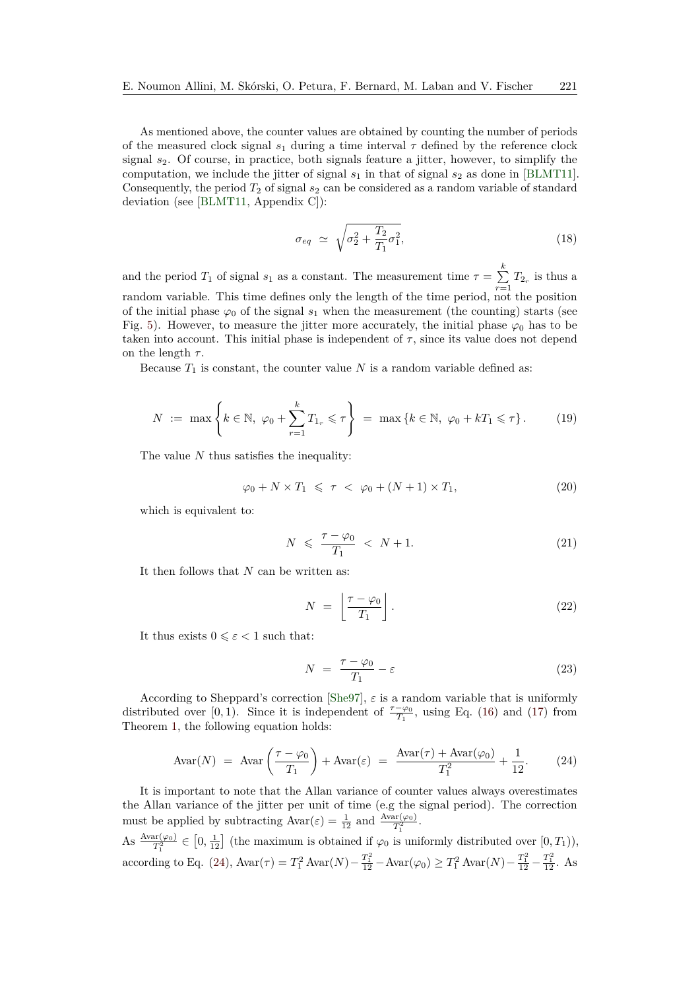As mentioned above, the counter values are obtained by counting the number of periods of the measured clock signal  $s_1$  during a time interval  $\tau$  defined by the reference clock signal *s*2. Of course, in practice, both signals feature a jitter, however, to simplify the computation, we include the jitter of signal  $s_1$  in that of signal  $s_2$  as done in [\[BLMT11\]](#page-19-0). Consequently, the period  $T_2$  of signal  $s_2$  can be considered as a random variable of standard deviation (see [\[BLMT11,](#page-19-0) Appendix C]):

<span id="page-7-1"></span>
$$
\sigma_{eq} \simeq \sqrt{\sigma_2^2 + \frac{T_2}{T_1} \sigma_1^2},\tag{18}
$$

and the period  $T_1$  of signal  $s_1$  as a constant. The measurement time  $\tau = \sum_{r=1}^{k} T_{2r}$  is thus a random variable. This time defines only the length of the time period, not the position of the initial phase  $\varphi_0$  of the signal  $s_1$  when the measurement (the counting) starts (see Fig. [5\)](#page-6-1). However, to measure the jitter more accurately, the initial phase  $\varphi_0$  has to be taken into account. This initial phase is independent of  $\tau$ , since its value does not depend on the length  $\tau$ .

Because  $T_1$  is constant, the counter value  $N$  is a random variable defined as:

$$
N := \max \left\{ k \in \mathbb{N}, \ \varphi_0 + \sum_{r=1}^k T_{1_r} \leqslant \tau \right\} = \max \left\{ k \in \mathbb{N}, \ \varphi_0 + kT_1 \leqslant \tau \right\}.
$$
 (19)

The value *N* thus satisfies the inequality:

$$
\varphi_0 + N \times T_1 \leqslant \tau < \varphi_0 + (N+1) \times T_1,\tag{20}
$$

which is equivalent to:

$$
N \leqslant \frac{\tau - \varphi_0}{T_1} < N + 1. \tag{21}
$$

It then follows that *N* can be written as:

$$
N = \left\lfloor \frac{\tau - \varphi_0}{T_1} \right\rfloor. \tag{22}
$$

It thus exists  $0 \leq \varepsilon < 1$  such that:

$$
N = \frac{\tau - \varphi_0}{T_1} - \varepsilon \tag{23}
$$

According to Sheppard's correction [\[She97\]](#page-21-7),  $\varepsilon$  is a random variable that is uniformly distributed over [0, 1). Since it is independent of  $\frac{\tau-\varphi_0}{T_1}$ , using Eq. [\(16\)](#page-6-2) and [\(17\)](#page-6-3) from Theorem [1,](#page-0-0) the following equation holds:

<span id="page-7-0"></span>
$$
Avar(N) = Avar\left(\frac{\tau - \varphi_0}{T_1}\right) + Avar(\varepsilon) = \frac{Avar(\tau) + Avar(\varphi_0)}{T_1^2} + \frac{1}{12}.\tag{24}
$$

It is important to note that the Allan variance of counter values always overestimates the Allan variance of the jitter per unit of time (e.g the signal period). The correction must be applied by subtracting  $Avar(\varepsilon) = \frac{1}{12}$  and  $\frac{Avar(\varphi_0)}{T_1^2}$ .

As  $\frac{\text{Avar}(\varphi_0)}{T_1^2} \in [0, \frac{1}{12}]$  (the maximum is obtained if  $\varphi_0$  is uniformly distributed over  $[0, T_1)$ ), 1 according to Eq. [\(24\)](#page-7-0),  $Avar(\tau) = T_1^2 Avar(N) - \frac{T_1^2}{12} - Avar(\varphi_0) \ge T_1^2 Avar(N) - \frac{T_1^2}{12} - \frac{T_1^2}{12}$ . As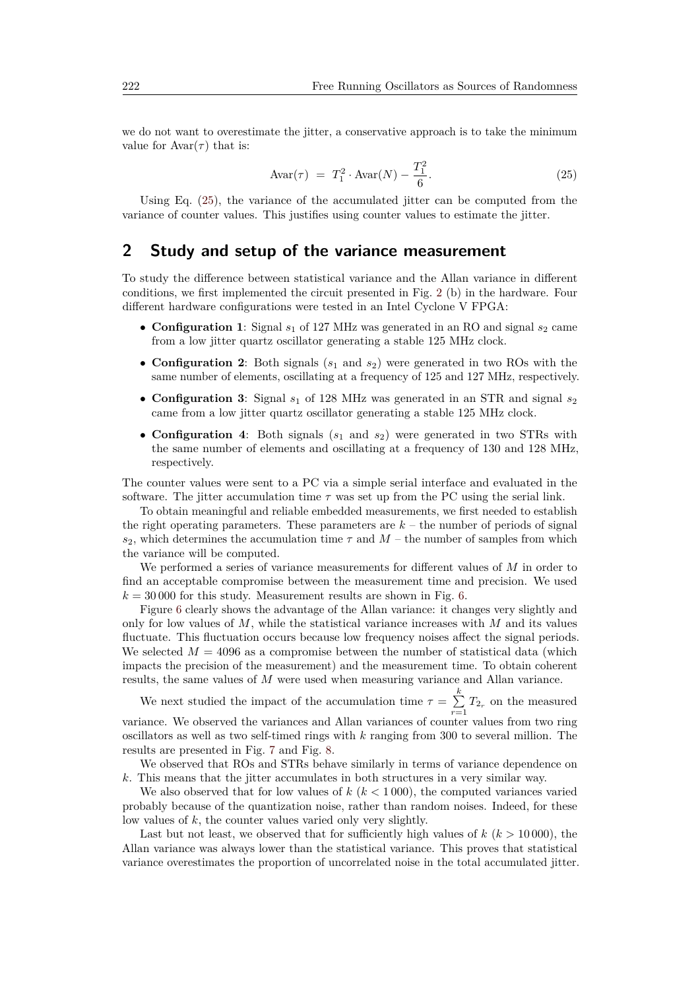we do not want to overestimate the jitter, a conservative approach is to take the minimum value for  $Avar(\tau)$  that is:

<span id="page-8-1"></span>
$$
Avar(\tau) = T_1^2 \cdot Avar(N) - \frac{T_1^2}{6}.
$$
 (25)

Using Eq. [\(25\)](#page-8-1), the variance of the accumulated jitter can be computed from the variance of counter values. This justifies using counter values to estimate the jitter.

### <span id="page-8-0"></span>**2 Study and setup of the variance measurement**

To study the difference between statistical variance and the Allan variance in different conditions, we first implemented the circuit presented in Fig. [2](#page-3-1) (b) in the hardware. Four different hardware configurations were tested in an Intel Cyclone V FPGA:

- **Configuration 1**: Signal  $s_1$  of 127 MHz was generated in an RO and signal  $s_2$  came from a low jitter quartz oscillator generating a stable 125 MHz clock.
- **Configuration 2**: Both signals (*s*<sup>1</sup> and *s*2) were generated in two ROs with the same number of elements, oscillating at a frequency of 125 and 127 MHz, respectively.
- **Configuration 3**: Signal  $s_1$  of 128 MHz was generated in an STR and signal  $s_2$ came from a low jitter quartz oscillator generating a stable 125 MHz clock.
- **Configuration 4**: Both signals ( $s_1$  and  $s_2$ ) were generated in two STRs with the same number of elements and oscillating at a frequency of 130 and 128 MHz, respectively.

The counter values were sent to a PC via a simple serial interface and evaluated in the software. The jitter accumulation time  $\tau$  was set up from the PC using the serial link.

To obtain meaningful and reliable embedded measurements, we first needed to establish the right operating parameters. These parameters are  $k -$  the number of periods of signal  $s_2$ , which determines the accumulation time  $\tau$  and  $M$  – the number of samples from which the variance will be computed.

We performed a series of variance measurements for different values of *M* in order to find an acceptable compromise between the measurement time and precision. We used  $k = 30000$  for this study. Measurement results are shown in Fig. [6.](#page-9-0)

Figure [6](#page-9-0) clearly shows the advantage of the Allan variance: it changes very slightly and only for low values of *M*, while the statistical variance increases with *M* and its values fluctuate. This fluctuation occurs because low frequency noises affect the signal periods. We selected  $M = 4096$  as a compromise between the number of statistical data (which impacts the precision of the measurement) and the measurement time. To obtain coherent results, the same values of *M* were used when measuring variance and Allan variance.

We next studied the impact of the accumulation time  $\tau = \sum_{k=1}^{k}$  $\sum_{r=1}^{n} T_{2r}$  on the measured variance. We observed the variances and Allan variances of counter values from two ring oscillators as well as two self-timed rings with *k* ranging from 300 to several million. The results are presented in Fig. [7](#page-9-1) and Fig. [8.](#page-10-0)

We observed that ROs and STRs behave similarly in terms of variance dependence on *k*. This means that the jitter accumulates in both structures in a very similar way.

We also observed that for low values of  $k \ (k \leq 1000)$ , the computed variances varied probably because of the quantization noise, rather than random noises. Indeed, for these low values of *k*, the counter values varied only very slightly.

Last but not least, we observed that for sufficiently high values of *k* (*k >* 10 000), the Allan variance was always lower than the statistical variance. This proves that statistical variance overestimates the proportion of uncorrelated noise in the total accumulated jitter.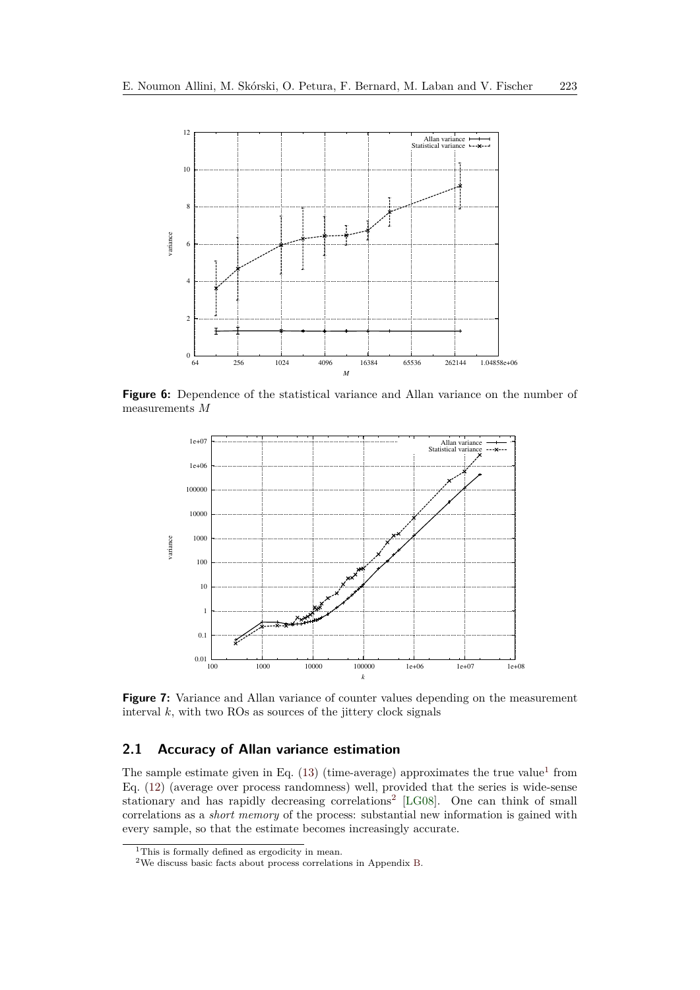<span id="page-9-0"></span>

**Figure 6:** Dependence of the statistical variance and Allan variance on the number of measurements *M*

<span id="page-9-1"></span>

**Figure 7:** Variance and Allan variance of counter values depending on the measurement interval  $k$ , with two ROs as sources of the jittery clock signals

### **2.1 Accuracy of Allan variance estimation**

The sample estimate given in Eq.  $(13)$  (time-average) approximates the true value<sup>[1](#page-9-2)</sup> from Eq. [\(12\)](#page-5-2) (average over process randomness) well, provided that the series is wide-sense stationary and has rapidly decreasing correlations<sup>[2](#page-9-3)</sup> [\[LG08\]](#page-20-10). One can think of small correlations as a *short memory* of the process: substantial new information is gained with every sample, so that the estimate becomes increasingly accurate.

<span id="page-9-2"></span><sup>&</sup>lt;sup>1</sup>This is formally defined as ergodicity in mean.

<span id="page-9-3"></span><sup>2</sup>We discuss basic facts about process correlations in Appendix [B.](#page-23-0)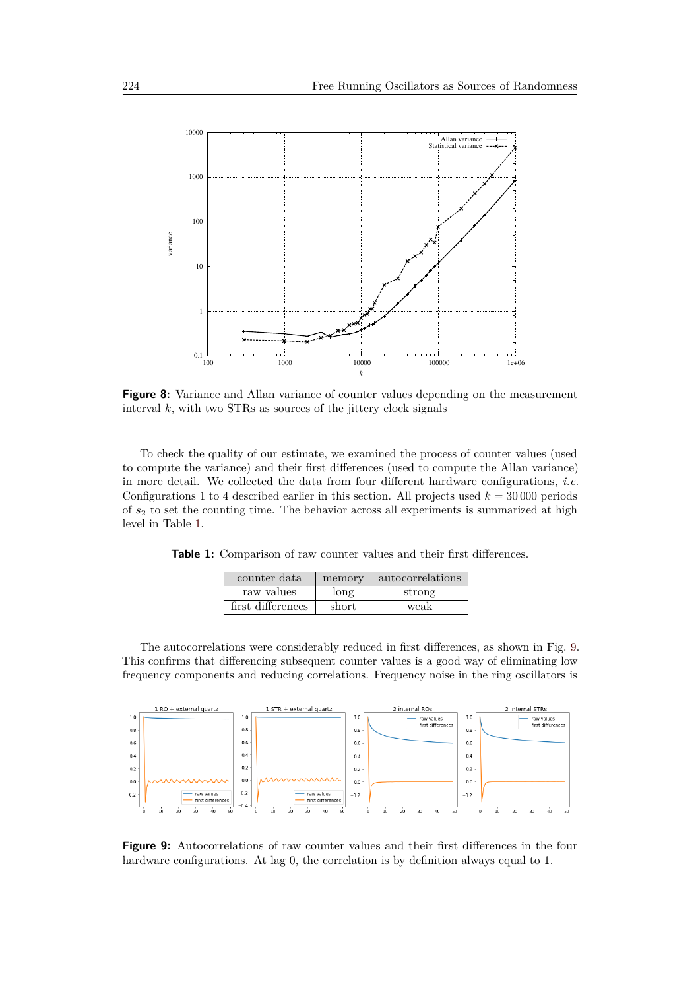<span id="page-10-0"></span>

**Figure 8:** Variance and Allan variance of counter values depending on the measurement interval  $k$ , with two STRs as sources of the jittery clock signals

To check the quality of our estimate, we examined the process of counter values (used to compute the variance) and their first differences (used to compute the Allan variance) in more detail. We collected the data from four different hardware configurations, *i.e.* Configurations 1 to 4 described earlier in this section. All projects used  $k = 30000$  periods of *s*<sup>2</sup> to set the counting time. The behavior across all experiments is summarized at high level in Table [1.](#page-10-1)

<span id="page-10-1"></span>

|  |  | <b>Table 1:</b> Comparison of raw counter values and their first differences. |  |  |  |  |  |  |  |
|--|--|-------------------------------------------------------------------------------|--|--|--|--|--|--|--|
|--|--|-------------------------------------------------------------------------------|--|--|--|--|--|--|--|

| counter data      | memory | autocorrelations |
|-------------------|--------|------------------|
| raw values        | long   | strong           |
| first differences | short  | weak             |

The autocorrelations were considerably reduced in first differences, as shown in Fig. [9.](#page-10-2) This confirms that differencing subsequent counter values is a good way of eliminating low frequency components and reducing correlations. Frequency noise in the ring oscillators is

<span id="page-10-2"></span>

**Figure 9:** Autocorrelations of raw counter values and their first differences in the four hardware configurations. At lag 0, the correlation is by definition always equal to 1.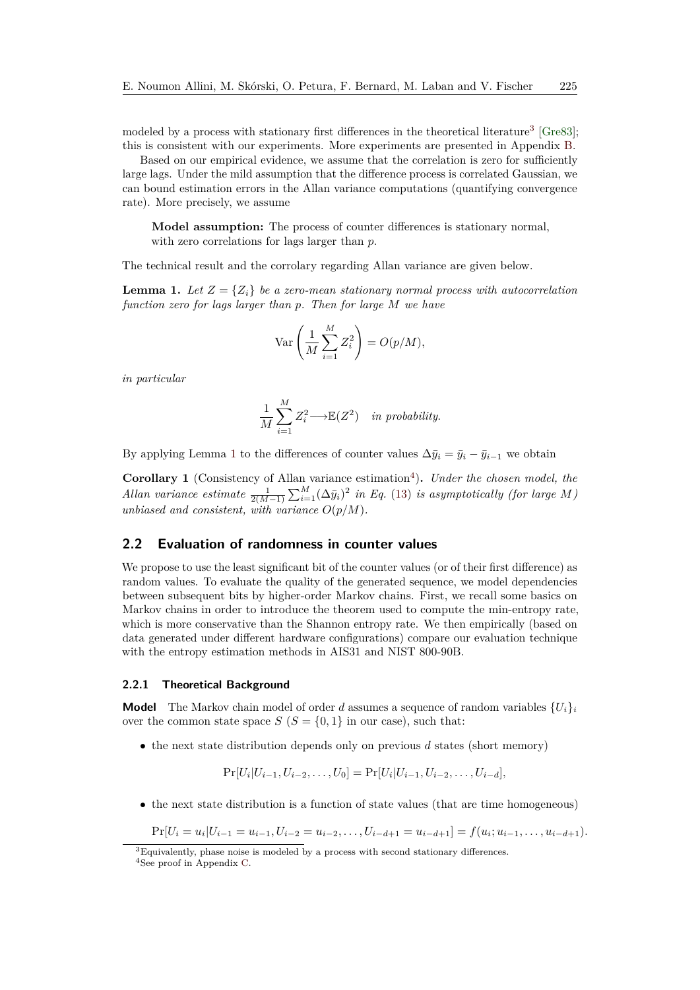modeled by a process with stationary first differences in the theoretical literature<sup>[3](#page-11-0)</sup> [\[Gre83\]](#page-20-11); this is consistent with our experiments. More experiments are presented in Appendix [B.](#page-23-0)

Based on our empirical evidence, we assume that the correlation is zero for sufficiently large lags. Under the mild assumption that the difference process is correlated Gaussian, we can bound estimation errors in the Allan variance computations (quantifying convergence rate). More precisely, we assume

**Model assumption:** The process of counter differences is stationary normal, with zero correlations for lags larger than *p*.

The technical result and the corrolary regarding Allan variance are given below.

<span id="page-11-1"></span>**Lemma 1.** Let  $Z = \{Z_i\}$  be a zero-mean stationary normal process with autocorrelation *function zero for lags larger than p. Then for large M we have*

$$
\text{Var}\left(\frac{1}{M}\sum_{i=1}^{M}Z_i^2\right) = O(p/M),
$$

*in particular*

$$
\frac{1}{M} \sum_{i=1}^{M} Z_i^2 \longrightarrow \mathbb{E}(Z^2) \quad in \ probability.
$$

By applying Lemma [1](#page-11-1) to the differences of counter values  $\Delta \bar{y}_i = \bar{y}_i - \bar{y}_{i-1}$  we obtain

Corollary 1 (Consistency of Allan variance estimation<sup>[4](#page-11-2)</sup>). Under the chosen model, the *Allan variance estimate*  $\frac{1}{2(M-1)} \sum_{i=1}^{M} (\Delta \bar{y}_i)^2$  *in Eq.* [\(13\)](#page-5-1) *is asymptotically (for large M*) *unbiased and consistent, with variance*  $O(p/M)$ *.* 

#### **2.2 Evaluation of randomness in counter values**

We propose to use the least significant bit of the counter values (or of their first difference) as random values. To evaluate the quality of the generated sequence, we model dependencies between subsequent bits by higher-order Markov chains. First, we recall some basics on Markov chains in order to introduce the theorem used to compute the min-entropy rate, which is more conservative than the Shannon entropy rate. We then empirically (based on data generated under different hardware configurations) compare our evaluation technique with the entropy estimation methods in AIS31 and NIST 800-90B.

#### **2.2.1 Theoretical Background**

**Model** The Markov chain model of order *d* assumes a sequence of random variables  $\{U_i\}$ over the common state space  $S(S = \{0, 1\})$  in our case), such that:

• the next state distribution depends only on previous *d* states (short memory)

$$
Pr[U_i|U_{i-1}, U_{i-2}, \dots, U_0] = Pr[U_i|U_{i-1}, U_{i-2}, \dots, U_{i-d}],
$$

• the next state distribution is a function of state values (that are time homogeneous)

 $\Pr[U_i = u_i | U_{i-1} = u_{i-1}, U_{i-2} = u_{i-2}, \dots, U_{i-d+1} = u_{i-d+1}]=f(u_i; u_{i-1}, \dots, u_{i-d+1}).$ 

<span id="page-11-2"></span><span id="page-11-0"></span> $\overline{{}^3E}$ quivalently, phase noise is modeled by a process with second stationary differences. <sup>4</sup>See proof in Appendix [C.](#page-24-0)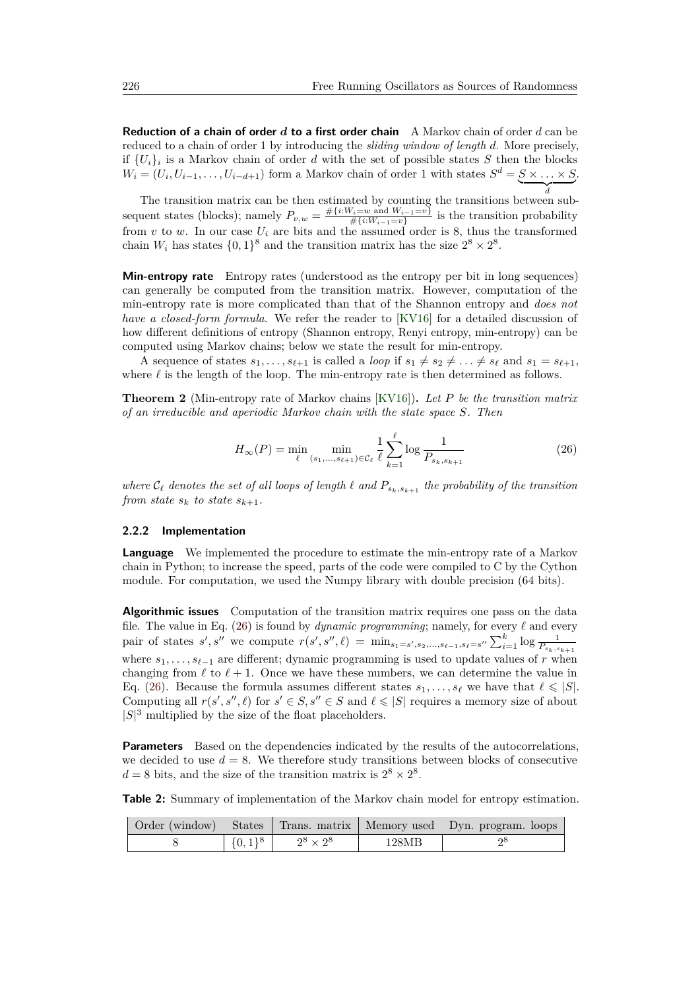**Reduction of a chain of order** *d* **to a first order chain** A Markov chain of order *d* can be reduced to a chain of order 1 by introducing the *sliding window of length d*. More precisely, if  ${U_i}_i$  is a Markov chain of order *d* with the set of possible states *S* then the blocks  $W_i = (U_i, U_{i-1}, \ldots, U_{i-d+1})$  form a Markov chain of order 1 with states  $S^d = S \times \ldots \times S$ .  $\overline{d}$ 

*d* The transition matrix can be then estimated by counting the transitions between subsequent states (blocks); namely  $P_{v,w} = \frac{\# \{i : W_i = w \text{ and } W_{i-1} = v\}}{\# \{i : W_{i-1} = v\}}$  $\frac{W_i = w \text{ and } W_{i-1} = v}{\#\{i:W_{i-1} = v\}}$  is the transition probability from  $v$  to  $w$ . In our case  $U_i$  are bits and the assumed order is 8, thus the transformed chain  $W_i$  has states  $\{0,1\}^8$  and the transition matrix has the size  $2^8 \times 2^8$ .

**Min-entropy rate** Entropy rates (understood as the entropy per bit in long sequences) can generally be computed from the transition matrix. However, computation of the min-entropy rate is more complicated than that of the Shannon entropy and *does not have a closed-form formula*. We refer the reader to [\[KV16\]](#page-20-12) for a detailed discussion of how different definitions of entropy (Shannon entropy, Renyi entropy, min-entropy) can be computed using Markov chains; below we state the result for min-entropy.

A sequence of states  $s_1, \ldots, s_{\ell+1}$  is called a *loop* if  $s_1 \neq s_2 \neq \ldots \neq s_{\ell}$  and  $s_1 = s_{\ell+1}$ , where  $\ell$  is the length of the loop. The min-entropy rate is then determined as follows.

**Theorem 2** (Min-entropy rate of Markov chains [\[KV16\]](#page-20-12))**.** *Let P be the transition matrix of an irreducible and aperiodic Markov chain with the state space S. Then*

<span id="page-12-0"></span>
$$
H_{\infty}(P) = \min_{\ell} \min_{(s_1, \dots, s_{\ell+1}) \in \mathcal{C}_{\ell}} \frac{1}{\ell} \sum_{k=1}^{\ell} \log \frac{1}{P_{s_k, s_{k+1}}} \tag{26}
$$

*where*  $C_{\ell}$  *denotes the set of all loops of length*  $\ell$  *and*  $P_{s_k, s_{k+1}}$  *the probability of the transition from state*  $s_k$  *to state*  $s_{k+1}$ *.* 

#### **2.2.2 Implementation**

**Language** We implemented the procedure to estimate the min-entropy rate of a Markov chain in Python; to increase the speed, parts of the code were compiled to C by the Cython module. For computation, we used the Numpy library with double precision (64 bits).

**Algorithmic issues** Computation of the transition matrix requires one pass on the data file. The value in Eq.  $(26)$  is found by *dynamic programming*; namely, for every  $\ell$  and every pair of states  $s', s''$  we compute  $r(s', s'', \ell) = \min_{s_1 = s', s_2, ..., s_{\ell-1}, s_{\ell} = s''} \sum_{i=1}^k \log \frac{1}{P_{s_k, s_{k+1}}}$ where  $s_1, \ldots, s_{\ell-1}$  are different; dynamic programming is used to update values of *r* when changing from  $\ell$  to  $\ell + 1$ . Once we have these numbers, we can determine the value in Eq. [\(26\)](#page-12-0). Because the formula assumes different states  $s_1, \ldots, s_\ell$  we have that  $\ell \leqslant |S|$ . Computing all  $r(s', s'', \ell)$  for  $s' \in S$ ,  $s'' \in S$  and  $\ell \leq |S|$  requires a memory size of about  $|S|^3$  multiplied by the size of the float placeholders.

**Parameters** Based on the dependencies indicated by the results of the autocorrelations, we decided to use  $d = 8$ . We therefore study transitions between blocks of consecutive  $d = 8$  bits, and the size of the transition matrix is  $2^8 \times 2^8$ .

**Table 2:** Summary of implementation of the Markov chain model for entropy estimation.

|             |                  |       | Order (window) States Trans. matrix Memory used Dyn. program. loops |
|-------------|------------------|-------|---------------------------------------------------------------------|
| $\{0,1\}^8$ | $2^8 \times 2^8$ | 128MB |                                                                     |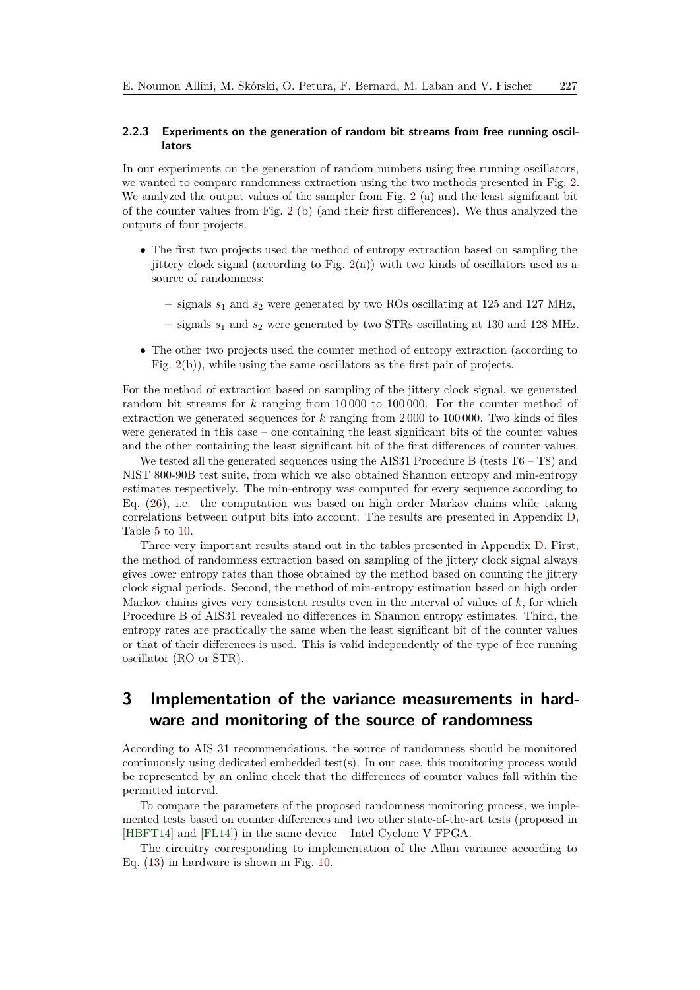#### **2.2.3 Experiments on the generation of random bit streams from free running oscillators**

In our experiments on the generation of random numbers using free running oscillators, we wanted to compare randomness extraction using the two methods presented in Fig. [2.](#page-3-1) We analyzed the output values of the sampler from Fig. [2](#page-3-1) (a) and the least significant bit of the counter values from Fig. [2](#page-3-1) (b) (and their first differences). We thus analyzed the outputs of four projects.

- The first two projects used the method of entropy extraction based on sampling the jittery clock signal (according to Fig.  $2(a)$  $2(a)$ ) with two kinds of oscillators used as a source of randomness:
	- **–** signals *s*<sup>1</sup> and *s*<sup>2</sup> were generated by two ROs oscillating at 125 and 127 MHz,
	- **–** signals *s*<sup>1</sup> and *s*<sup>2</sup> were generated by two STRs oscillating at 130 and 128 MHz.
- The other two projects used the counter method of entropy extraction (according to Fig. [2\(](#page-3-1)b)), while using the same oscillators as the first pair of projects.

For the method of extraction based on sampling of the jittery clock signal, we generated random bit streams for *k* ranging from 10 000 to 100 000. For the counter method of extraction we generated sequences for *k* ranging from 2 000 to 100 000. Two kinds of files were generated in this case – one containing the least significant bits of the counter values and the other containing the least significant bit of the first differences of counter values.

We tested all the generated sequences using the AIS31 Procedure B (tests  $T6 - T8$ ) and NIST 800-90B test suite, from which we also obtained Shannon entropy and min-entropy estimates respectively. The min-entropy was computed for every sequence according to Eq. [\(26\)](#page-12-0), i.e. the computation was based on high order Markov chains while taking correlations between output bits into account. The results are presented in Appendix [D,](#page-26-0) Table [5](#page-26-1) to [10.](#page-28-0)

Three very important results stand out in the tables presented in Appendix [D.](#page-26-0) First, the method of randomness extraction based on sampling of the jittery clock signal always gives lower entropy rates than those obtained by the method based on counting the jittery clock signal periods. Second, the method of min-entropy estimation based on high order Markov chains gives very consistent results even in the interval of values of *k*, for which Procedure B of AIS31 revealed no differences in Shannon entropy estimates. Third, the entropy rates are practically the same when the least significant bit of the counter values or that of their differences is used. This is valid independently of the type of free running oscillator (RO or STR).

## <span id="page-13-0"></span>**3 Implementation of the variance measurements in hardware and monitoring of the source of randomness**

According to AIS 31 recommendations, the source of randomness should be monitored continuously using dedicated embedded test(s). In our case, this monitoring process would be represented by an online check that the differences of counter values fall within the permitted interval.

To compare the parameters of the proposed randomness monitoring process, we implemented tests based on counter differences and two other state-of-the-art tests (proposed in [\[HBFT14\]](#page-20-1) and [\[FL14\]](#page-20-2)) in the same device – Intel Cyclone V FPGA.

The circuitry corresponding to implementation of the Allan variance according to Eq. [\(13\)](#page-5-1) in hardware is shown in Fig. [10.](#page-14-0)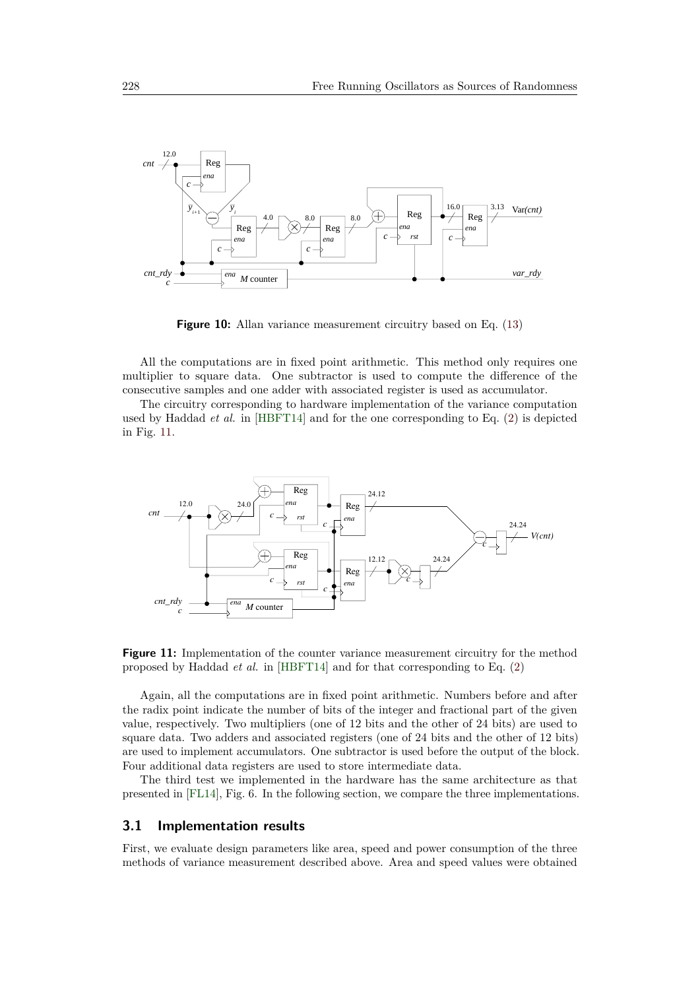<span id="page-14-0"></span>

**Figure 10:** Allan variance measurement circuitry based on Eq. [\(13\)](#page-5-1)

All the computations are in fixed point arithmetic. This method only requires one multiplier to square data. One subtractor is used to compute the difference of the consecutive samples and one adder with associated register is used as accumulator.

The circuitry corresponding to hardware implementation of the variance computation used by Haddad *et al.* in [\[HBFT14\]](#page-20-1) and for the one corresponding to Eq. [\(2\)](#page-3-2) is depicted in Fig. [11.](#page-14-1)

<span id="page-14-1"></span>

**Figure 11:** Implementation of the counter variance measurement circuitry for the method proposed by Haddad *et al.* in [\[HBFT14\]](#page-20-1) and for that corresponding to Eq. [\(2\)](#page-3-2)

Again, all the computations are in fixed point arithmetic. Numbers before and after the radix point indicate the number of bits of the integer and fractional part of the given value, respectively. Two multipliers (one of 12 bits and the other of 24 bits) are used to square data. Two adders and associated registers (one of 24 bits and the other of 12 bits) are used to implement accumulators. One subtractor is used before the output of the block. Four additional data registers are used to store intermediate data.

The third test we implemented in the hardware has the same architecture as that presented in [\[FL14\]](#page-20-2), Fig. 6. In the following section, we compare the three implementations.

#### **3.1 Implementation results**

First, we evaluate design parameters like area, speed and power consumption of the three methods of variance measurement described above. Area and speed values were obtained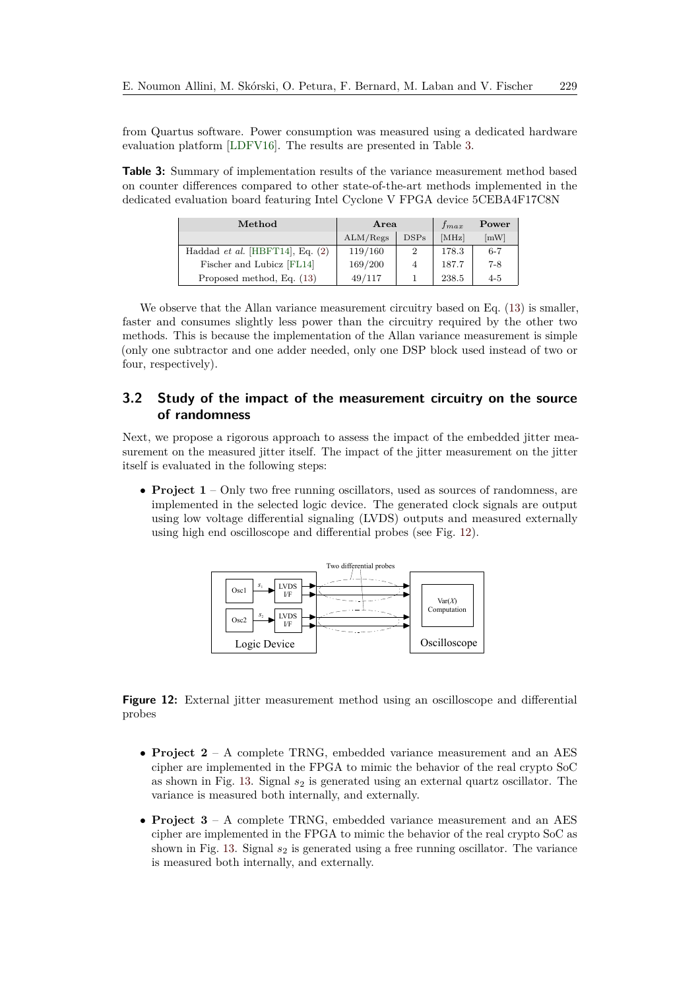from Quartus software. Power consumption was measured using a dedicated hardware evaluation platform [\[LDFV16\]](#page-20-13). The results are presented in Table [3.](#page-15-1)

<span id="page-15-1"></span>**Table 3:** Summary of implementation results of the variance measurement method based on counter differences compared to other state-of-the-art methods implemented in the dedicated evaluation board featuring Intel Cyclone V FPGA device 5CEBA4F17C8N

| Method                                   | Area     |                | $f_{max}$ | Power              |
|------------------------------------------|----------|----------------|-----------|--------------------|
|                                          | ALM/Regs | DSPs           | [MHz]     | $\lceil mW \rceil$ |
| Haddad <i>et al.</i> [HBFT14], Eq. $(2)$ | 119/160  | $\overline{2}$ | 178.3     | $6 - 7$            |
| Fischer and Lubicz [FL14]                | 169/200  | 4              | 187.7     | 7-8                |
| Proposed method, Eq. (13)                | 49/117   |                | 238.5     | $4 - 5$            |

We observe that the Allan variance measurement circuitry based on Eq. [\(13\)](#page-5-1) is smaller, faster and consumes slightly less power than the circuitry required by the other two methods. This is because the implementation of the Allan variance measurement is simple (only one subtractor and one adder needed, only one DSP block used instead of two or four, respectively).

### <span id="page-15-0"></span>**3.2 Study of the impact of the measurement circuitry on the source of randomness**

Next, we propose a rigorous approach to assess the impact of the embedded jitter measurement on the measured jitter itself. The impact of the jitter measurement on the jitter itself is evaluated in the following steps:

<span id="page-15-2"></span>• **Project 1** – Only two free running oscillators, used as sources of randomness, are implemented in the selected logic device. The generated clock signals are output using low voltage differential signaling (LVDS) outputs and measured externally using high end oscilloscope and differential probes (see Fig. [12\)](#page-15-2).



**Figure 12:** External jitter measurement method using an oscilloscope and differential probes

- **Project 2** A complete TRNG, embedded variance measurement and an AES cipher are implemented in the FPGA to mimic the behavior of the real crypto SoC as shown in Fig. [13.](#page-16-0) Signal  $s_2$  is generated using an external quartz oscillator. The variance is measured both internally, and externally.
- **Project 3** A complete TRNG, embedded variance measurement and an AES cipher are implemented in the FPGA to mimic the behavior of the real crypto SoC as shown in Fig. [13.](#page-16-0) Signal  $s_2$  is generated using a free running oscillator. The variance is measured both internally, and externally.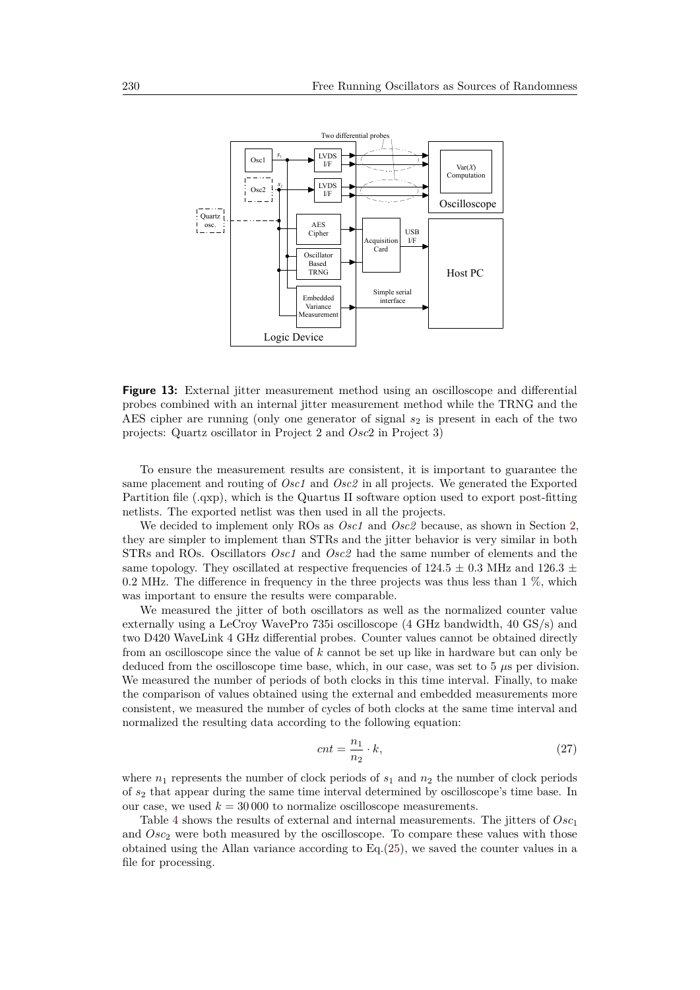<span id="page-16-0"></span>

**Figure 13:** External jitter measurement method using an oscilloscope and differential probes combined with an internal jitter measurement method while the TRNG and the AES cipher are running (only one generator of signal  $s<sub>2</sub>$  is present in each of the two projects: Quartz oscillator in Project 2 and *Osc*2 in Project 3)

To ensure the measurement results are consistent, it is important to guarantee the same placement and routing of *Osc1* and *Osc2* in all projects. We generated the Exported Partition file (.qxp), which is the Quartus II software option used to export post-fitting netlists. The exported netlist was then used in all the projects.

We decided to implement only ROs as *Osc1* and *Osc2* because, as shown in Section [2,](#page-8-0) they are simpler to implement than STRs and the jitter behavior is very similar in both STRs and ROs. Oscillators *Osc1* and *Osc2* had the same number of elements and the same topology. They oscillated at respective frequencies of  $124.5 \pm 0.3$  MHz and  $126.3 \pm 0.3$ 0.2 MHz. The difference in frequency in the three projects was thus less than 1 %, which was important to ensure the results were comparable.

We measured the jitter of both oscillators as well as the normalized counter value externally using a LeCroy WavePro 735i oscilloscope (4 GHz bandwidth, 40 GS/s) and two D420 WaveLink 4 GHz differential probes. Counter values cannot be obtained directly from an oscilloscope since the value of *k* cannot be set up like in hardware but can only be deduced from the oscilloscope time base, which, in our case, was set to 5 *µ*s per division. We measured the number of periods of both clocks in this time interval. Finally, to make the comparison of values obtained using the external and embedded measurements more consistent, we measured the number of cycles of both clocks at the same time interval and normalized the resulting data according to the following equation:

<span id="page-16-1"></span>
$$
cnt = \frac{n_1}{n_2} \cdot k,\tag{27}
$$

where  $n_1$  represents the number of clock periods of  $s_1$  and  $n_2$  the number of clock periods of *s*<sup>2</sup> that appear during the same time interval determined by oscilloscope's time base. In our case, we used  $k = 30000$  to normalize oscilloscope measurements.

Table [4](#page-17-0) shows the results of external and internal measurements. The jitters of *Osc*<sup>1</sup> and *Osc*<sub>2</sub> were both measured by the oscilloscope. To compare these values with those obtained using the Allan variance according to Eq.[\(25\)](#page-8-1), we saved the counter values in a file for processing.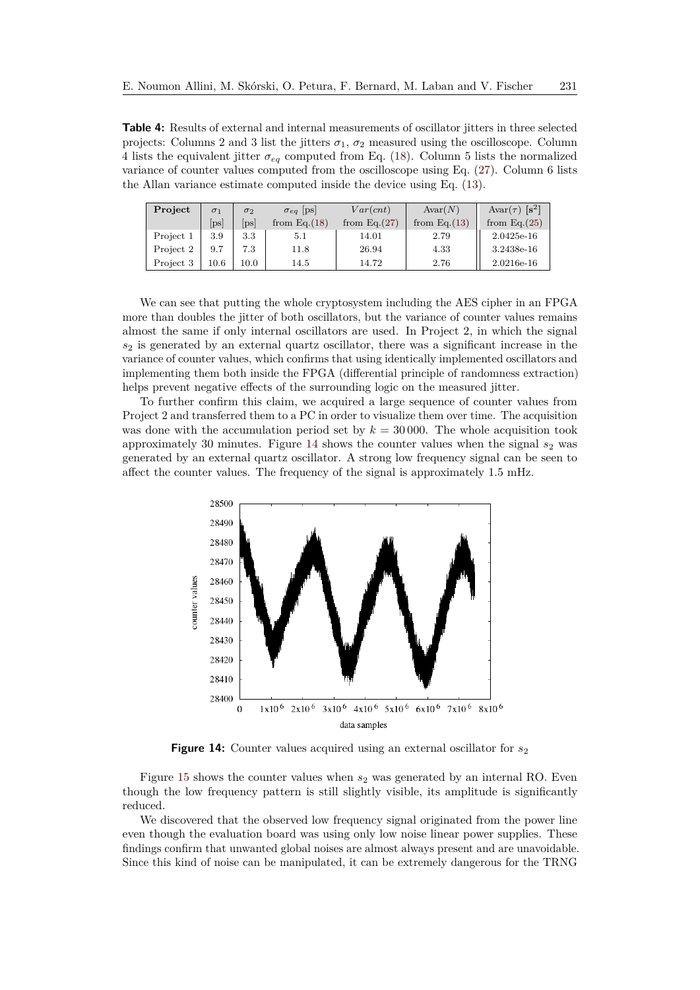<span id="page-17-0"></span>**Table 4:** Results of external and internal measurements of oscillator jitters in three selected projects: Columns 2 and 3 list the jitters  $\sigma_1$ ,  $\sigma_2$  measured using the oscilloscope. Column 4 lists the equivalent jitter  $\sigma_{eq}$  computed from Eq. [\(18\)](#page-7-1). Column 5 lists the normalized variance of counter values computed from the oscilloscope using Eq. [\(27\)](#page-16-1). Column 6 lists the Allan variance estimate computed inside the device using Eq. [\(13\)](#page-5-1).

| Project   | $\sigma_1$   | $\sigma_2$   | $\sigma_{eq}$  ps | Var(cnt)        | Avar(N)        | Avar $(\tau)$ [s <sup>2</sup> ] |
|-----------|--------------|--------------|-------------------|-----------------|----------------|---------------------------------|
|           | $ {\rm ps} $ | $ {\rm ps} $ | from Eq. $(18)$   | from Eq. $(27)$ | from $Eq.(13)$ | from Eq. $(25)$                 |
| Project 1 | 3.9          | 3.3          | 5.1               | 14.01           | 2.79           | 2.0425e-16                      |
| Project 2 | 9.7          | 7.3          | 11.8              | 26.94           | 4.33           | 3.2438e-16                      |
| Project 3 | $10.6\,$     | 10.0         | 14.5              | 14.72           | 2.76           | 2.0216e-16                      |

We can see that putting the whole cryptosystem including the AES cipher in an FPGA more than doubles the jitter of both oscillators, but the variance of counter values remains almost the same if only internal oscillators are used. In Project 2, in which the signal *s*<sup>2</sup> is generated by an external quartz oscillator, there was a significant increase in the variance of counter values, which confirms that using identically implemented oscillators and implementing them both inside the FPGA (differential principle of randomness extraction) helps prevent negative effects of the surrounding logic on the measured jitter.

To further confirm this claim, we acquired a large sequence of counter values from Project 2 and transferred them to a PC in order to visualize them over time. The acquisition was done with the accumulation period set by  $k = 30000$ . The whole acquisition took approximately 30 minutes. Figure [14](#page-17-1) shows the counter values when the signal  $s_2$  was generated by an external quartz oscillator. A strong low frequency signal can be seen to affect the counter values. The frequency of the signal is approximately 1.5 mHz.

<span id="page-17-1"></span>

**Figure 14:** Counter values acquired using an external oscillator for  $s_2$ 

Figure [15](#page-18-1) shows the counter values when  $s_2$  was generated by an internal RO. Even though the low frequency pattern is still slightly visible, its amplitude is significantly reduced.

We discovered that the observed low frequency signal originated from the power line even though the evaluation board was using only low noise linear power supplies. These findings confirm that unwanted global noises are almost always present and are unavoidable. Since this kind of noise can be manipulated, it can be extremely dangerous for the TRNG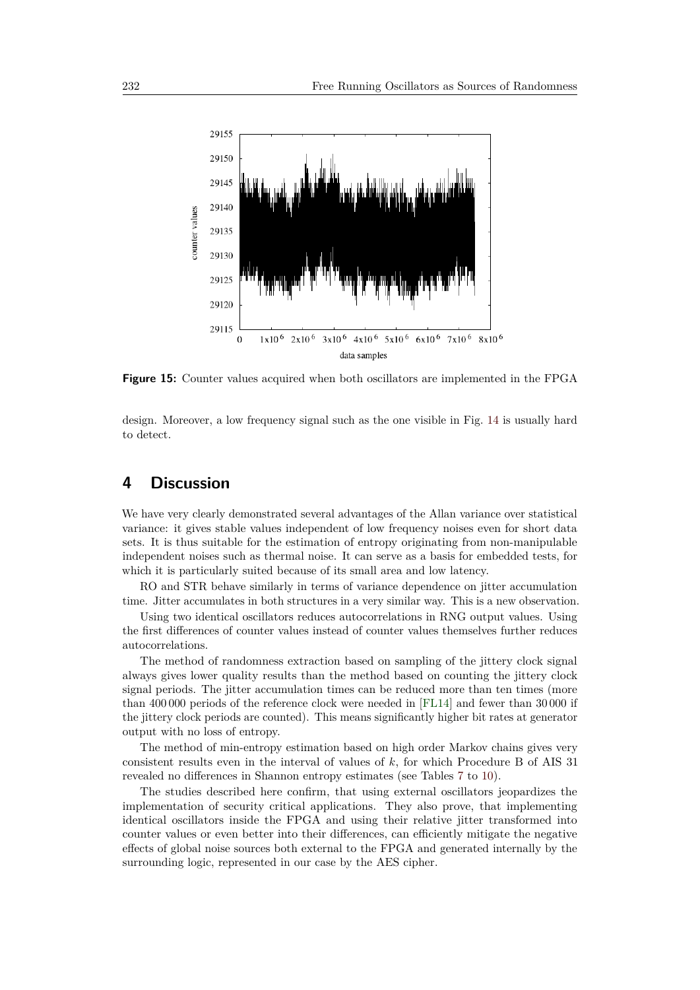<span id="page-18-1"></span>

**Figure 15:** Counter values acquired when both oscillators are implemented in the FPGA

design. Moreover, a low frequency signal such as the one visible in Fig. [14](#page-17-1) is usually hard to detect.

## <span id="page-18-0"></span>**4 Discussion**

We have very clearly demonstrated several advantages of the Allan variance over statistical variance: it gives stable values independent of low frequency noises even for short data sets. It is thus suitable for the estimation of entropy originating from non-manipulable independent noises such as thermal noise. It can serve as a basis for embedded tests, for which it is particularly suited because of its small area and low latency.

RO and STR behave similarly in terms of variance dependence on jitter accumulation time. Jitter accumulates in both structures in a very similar way. This is a new observation.

Using two identical oscillators reduces autocorrelations in RNG output values. Using the first differences of counter values instead of counter values themselves further reduces autocorrelations.

The method of randomness extraction based on sampling of the jittery clock signal always gives lower quality results than the method based on counting the jittery clock signal periods. The jitter accumulation times can be reduced more than ten times (more than 400 000 periods of the reference clock were needed in [\[FL14\]](#page-20-2) and fewer than 30 000 if the jittery clock periods are counted). This means significantly higher bit rates at generator output with no loss of entropy.

The method of min-entropy estimation based on high order Markov chains gives very consistent results even in the interval of values of *k*, for which Procedure B of AIS 31 revealed no differences in Shannon entropy estimates (see Tables [7](#page-27-0) to [10\)](#page-28-0).

The studies described here confirm, that using external oscillators jeopardizes the implementation of security critical applications. They also prove, that implementing identical oscillators inside the FPGA and using their relative jitter transformed into counter values or even better into their differences, can efficiently mitigate the negative effects of global noise sources both external to the FPGA and generated internally by the surrounding logic, represented in our case by the AES cipher.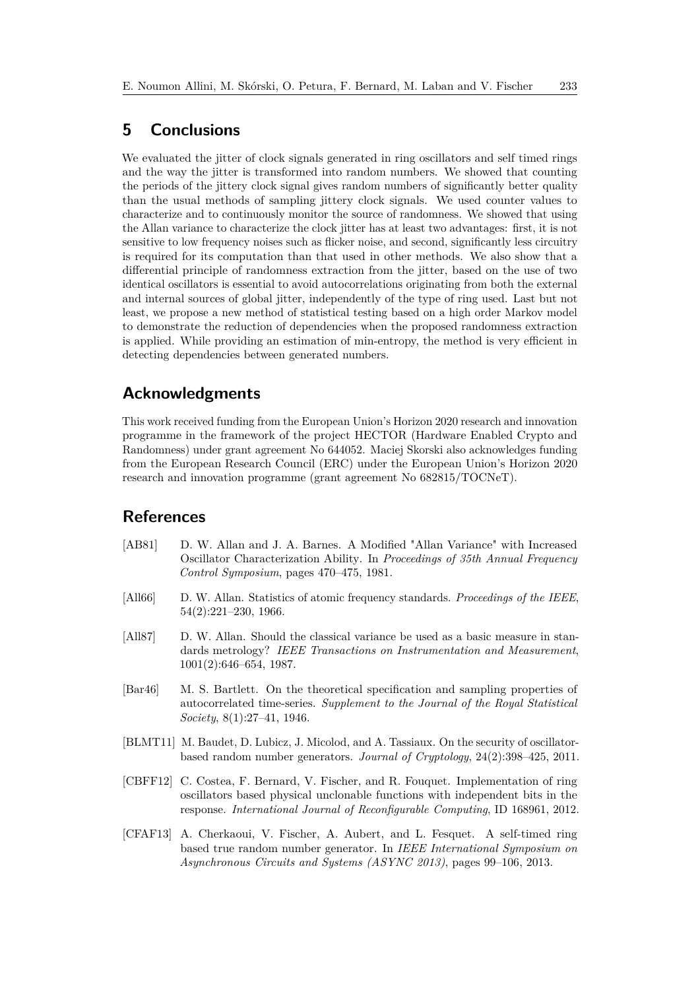## <span id="page-19-3"></span>**5 Conclusions**

We evaluated the jitter of clock signals generated in ring oscillators and self timed rings and the way the jitter is transformed into random numbers. We showed that counting the periods of the jittery clock signal gives random numbers of significantly better quality than the usual methods of sampling jittery clock signals. We used counter values to characterize and to continuously monitor the source of randomness. We showed that using the Allan variance to characterize the clock jitter has at least two advantages: first, it is not sensitive to low frequency noises such as flicker noise, and second, significantly less circuitry is required for its computation than that used in other methods. We also show that a differential principle of randomness extraction from the jitter, based on the use of two identical oscillators is essential to avoid autocorrelations originating from both the external and internal sources of global jitter, independently of the type of ring used. Last but not least, we propose a new method of statistical testing based on a high order Markov model to demonstrate the reduction of dependencies when the proposed randomness extraction is applied. While providing an estimation of min-entropy, the method is very efficient in detecting dependencies between generated numbers.

### **Acknowledgments**

This work received funding from the European Union's Horizon 2020 research and innovation programme in the framework of the project HECTOR (Hardware Enabled Crypto and Randomness) under grant agreement No 644052. Maciej Skorski also acknowledges funding from the European Research Council (ERC) under the European Union's Horizon 2020 research and innovation programme (grant agreement No 682815/TOCNeT).

### **References**

- <span id="page-19-4"></span>[AB81] D. W. Allan and J. A. Barnes. A Modified "Allan Variance" with Increased Oscillator Characterization Ability. In *Proceedings of 35th Annual Frequency Control Symposium*, pages 470–475, 1981.
- <span id="page-19-6"></span>[All66] D. W. Allan. Statistics of atomic frequency standards. *Proceedings of the IEEE*, 54(2):221–230, 1966.
- <span id="page-19-5"></span>[All87] D. W. Allan. Should the classical variance be used as a basic measure in standards metrology? *IEEE Transactions on Instrumentation and Measurement*, 1001(2):646–654, 1987.
- <span id="page-19-7"></span>[Bar46] M. S. Bartlett. On the theoretical specification and sampling properties of autocorrelated time-series. *Supplement to the Journal of the Royal Statistical Society*, 8(1):27–41, 1946.
- <span id="page-19-0"></span>[BLMT11] M. Baudet, D. Lubicz, J. Micolod, and A. Tassiaux. On the security of oscillatorbased random number generators. *Journal of Cryptology*, 24(2):398–425, 2011.
- <span id="page-19-2"></span>[CBFF12] C. Costea, F. Bernard, V. Fischer, and R. Fouquet. Implementation of ring oscillators based physical unclonable functions with independent bits in the response. *International Journal of Reconfigurable Computing*, ID 168961, 2012.
- <span id="page-19-1"></span>[CFAF13] A. Cherkaoui, V. Fischer, A. Aubert, and L. Fesquet. A self-timed ring based true random number generator. In *IEEE International Symposium on Asynchronous Circuits and Systems (ASYNC 2013)*, pages 99–106, 2013.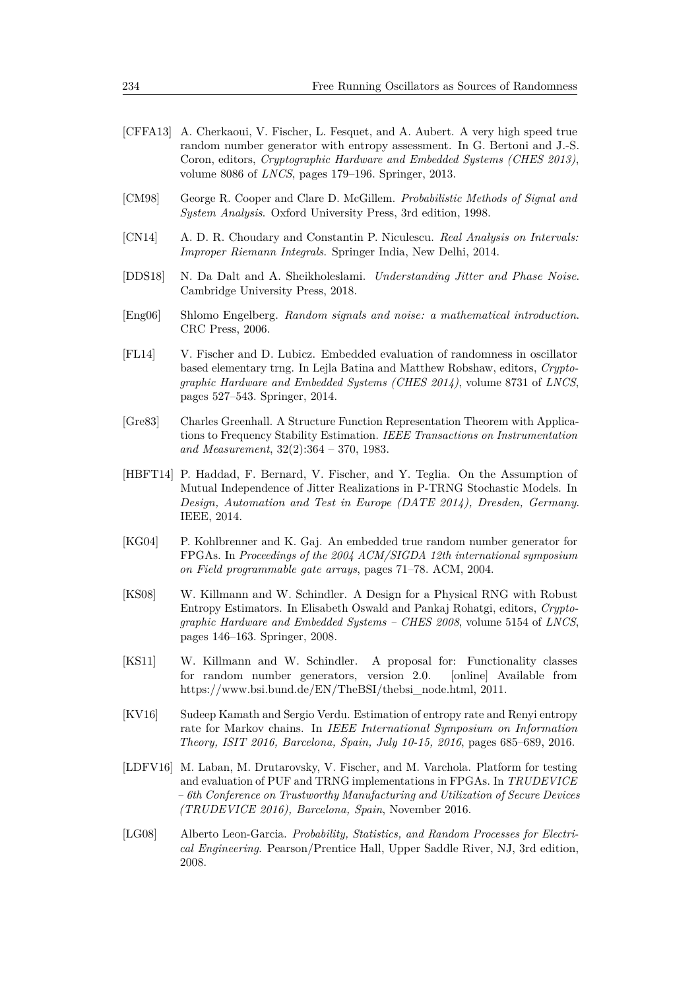- <span id="page-20-5"></span>[CFFA13] A. Cherkaoui, V. Fischer, L. Fesquet, and A. Aubert. A very high speed true random number generator with entropy assessment. In G. Bertoni and J.-S. Coron, editors, *Cryptographic Hardware and Embedded Systems (CHES 2013)*, volume 8086 of *LNCS*, pages 179–196. Springer, 2013.
- <span id="page-20-7"></span>[CM98] George R. Cooper and Clare D. McGillem. *Probabilistic Methods of Signal and System Analysis*. Oxford University Press, 3rd edition, 1998.
- <span id="page-20-9"></span>[CN14] A. D. R. Choudary and Constantin P. Niculescu. *Real Analysis on Intervals: Improper Riemann Integrals*. Springer India, New Delhi, 2014.
- <span id="page-20-4"></span>[DDS18] N. Da Dalt and A. Sheikholeslami. *Understanding Jitter and Phase Noise*. Cambridge University Press, 2018.
- <span id="page-20-8"></span>[Eng06] Shlomo Engelberg. *Random signals and noise: a mathematical introduction*. CRC Press, 2006.
- <span id="page-20-2"></span>[FL14] V. Fischer and D. Lubicz. Embedded evaluation of randomness in oscillator based elementary trng. In Lejla Batina and Matthew Robshaw, editors, *Cryptographic Hardware and Embedded Systems (CHES 2014)*, volume 8731 of *LNCS*, pages 527–543. Springer, 2014.
- <span id="page-20-11"></span>[Gre83] Charles Greenhall. A Structure Function Representation Theorem with Applications to Frequency Stability Estimation. *IEEE Transactions on Instrumentation and Measurement*, 32(2):364 – 370, 1983.
- <span id="page-20-1"></span>[HBFT14] P. Haddad, F. Bernard, V. Fischer, and Y. Teglia. On the Assumption of Mutual Independence of Jitter Realizations in P-TRNG Stochastic Models. In *Design, Automation and Test in Europe (DATE 2014), Dresden, Germany*. IEEE, 2014.
- <span id="page-20-6"></span>[KG04] P. Kohlbrenner and K. Gaj. An embedded true random number generator for FPGAs. In *Proceedings of the 2004 ACM/SIGDA 12th international symposium on Field programmable gate arrays*, pages 71–78. ACM, 2004.
- <span id="page-20-3"></span>[KS08] W. Killmann and W. Schindler. A Design for a Physical RNG with Robust Entropy Estimators. In Elisabeth Oswald and Pankaj Rohatgi, editors, *Cryptographic Hardware and Embedded Systems – CHES 2008*, volume 5154 of *LNCS*, pages 146–163. Springer, 2008.
- <span id="page-20-0"></span>[KS11] W. Killmann and W. Schindler. A proposal for: Functionality classes for random number generators, version 2.0. [online] Available from https://www.bsi.bund.de/EN/TheBSI/thebsi\_node.html, 2011.
- <span id="page-20-12"></span>[KV16] Sudeep Kamath and Sergio Verdu. Estimation of entropy rate and Renyi entropy rate for Markov chains. In *IEEE International Symposium on Information Theory, ISIT 2016, Barcelona, Spain, July 10-15, 2016*, pages 685–689, 2016.
- <span id="page-20-13"></span>[LDFV16] M. Laban, M. Drutarovsky, V. Fischer, and M. Varchola. Platform for testing and evaluation of PUF and TRNG implementations in FPGAs. In *TRUDEVICE – 6th Conference on Trustworthy Manufacturing and Utilization of Secure Devices (TRUDEVICE 2016), Barcelona, Spain*, November 2016.
- <span id="page-20-10"></span>[LG08] Alberto Leon-Garcia. *Probability, Statistics, and Random Processes for Electrical Engineering*. Pearson/Prentice Hall, Upper Saddle River, NJ, 3rd edition, 2008.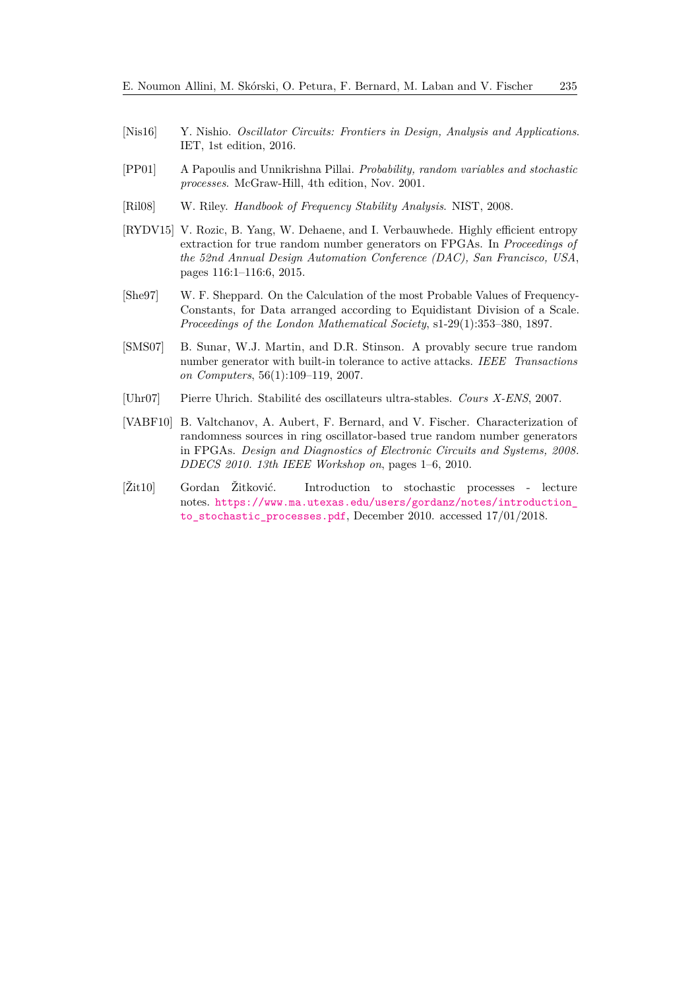- <span id="page-21-3"></span>[Nis16] Y. Nishio. *Oscillator Circuits: Frontiers in Design, Analysis and Applications*. IET, 1st edition, 2016.
- <span id="page-21-8"></span>[PP01] A Papoulis and Unnikrishna Pillai. *Probability, random variables and stochastic processes*. McGraw-Hill, 4th edition, Nov. 2001.
- <span id="page-21-5"></span>[Ril08] W. Riley. *Handbook of Frequency Stability Analysis*. NIST, 2008.
- <span id="page-21-1"></span>[RYDV15] V. Rozic, B. Yang, W. Dehaene, and I. Verbauwhede. Highly efficient entropy extraction for true random number generators on FPGAs. In *Proceedings of the 52nd Annual Design Automation Conference (DAC), San Francisco, USA*, pages 116:1–116:6, 2015.
- <span id="page-21-7"></span>[She97] W. F. Sheppard. On the Calculation of the most Probable Values of Frequency-Constants, for Data arranged according to Equidistant Division of a Scale. *Proceedings of the London Mathematical Society*, s1-29(1):353–380, 1897.
- <span id="page-21-0"></span>[SMS07] B. Sunar, W.J. Martin, and D.R. Stinson. A provably secure true random number generator with built-in tolerance to active attacks. *IEEE Transactions on Computers*, 56(1):109–119, 2007.
- <span id="page-21-6"></span>[Uhr07] Pierre Uhrich. Stabilité des oscillateurs ultra-stables. *Cours X-ENS*, 2007.
- <span id="page-21-2"></span>[VABF10] B. Valtchanov, A. Aubert, F. Bernard, and V. Fischer. Characterization of randomness sources in ring oscillator-based true random number generators in FPGAs. *Design and Diagnostics of Electronic Circuits and Systems, 2008. DDECS 2010. 13th IEEE Workshop on*, pages 1–6, 2010.
- <span id="page-21-4"></span>[Žit10] Gordan Žitković. Introduction to stochastic processes - lecture notes. [https://www.ma.utexas.edu/users/gordanz/notes/introduction\\_](https://www.ma.utexas.edu/users/gordanz/notes/introduction_to_stochastic_processes.pdf) [to\\_stochastic\\_processes.pdf](https://www.ma.utexas.edu/users/gordanz/notes/introduction_to_stochastic_processes.pdf), December 2010. accessed 17/01/2018.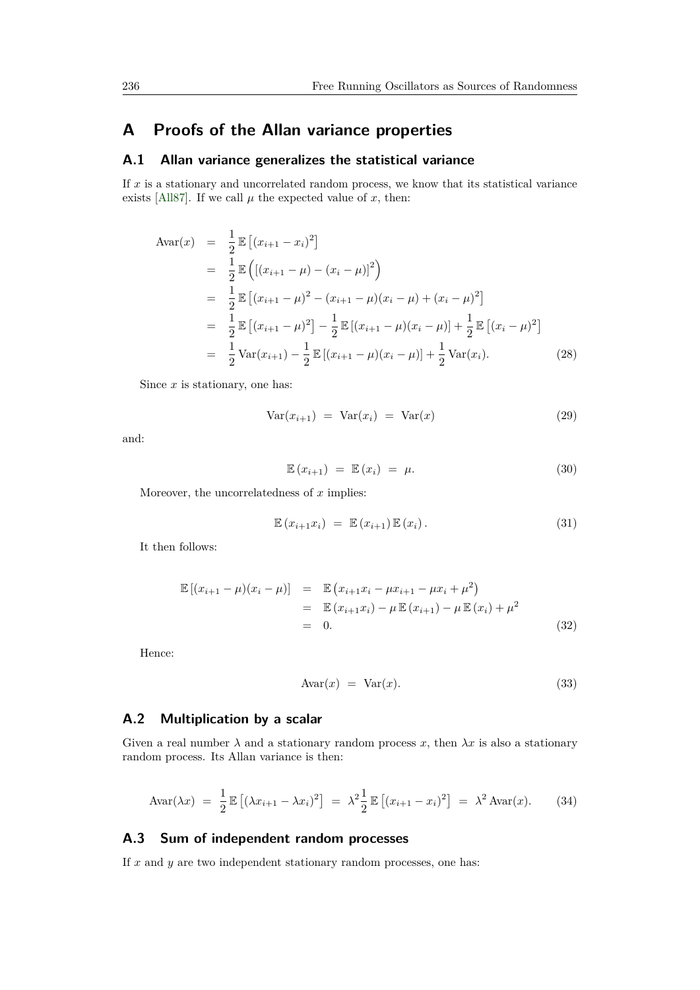## <span id="page-22-0"></span>**A Proofs of the Allan variance properties**

#### **A.1 Allan variance generalizes the statistical variance**

If *x* is a stationary and uncorrelated random process, we know that its statistical variance exists [\[All87\]](#page-19-5). If we call  $\mu$  the expected value of  $x$ , then:

$$
\begin{split}\n\text{Avar}(x) &= \frac{1}{2} \mathbb{E} \left[ (x_{i+1} - x_i)^2 \right] \\
&= \frac{1}{2} \mathbb{E} \left( [(x_{i+1} - \mu) - (x_i - \mu)]^2 \right) \\
&= \frac{1}{2} \mathbb{E} \left[ (x_{i+1} - \mu)^2 - (x_{i+1} - \mu)(x_i - \mu) + (x_i - \mu)^2 \right] \\
&= \frac{1}{2} \mathbb{E} \left[ (x_{i+1} - \mu)^2 \right] - \frac{1}{2} \mathbb{E} \left[ (x_{i+1} - \mu)(x_i - \mu) \right] + \frac{1}{2} \mathbb{E} \left[ (x_i - \mu)^2 \right] \\
&= \frac{1}{2} \text{Var}(x_{i+1}) - \frac{1}{2} \mathbb{E} \left[ (x_{i+1} - \mu)(x_i - \mu) \right] + \frac{1}{2} \text{Var}(x_i).\n\end{split} \tag{28}
$$

Since *x* is stationary, one has:

$$
Var(x_{i+1}) = Var(x_i) = Var(x)
$$
\n(29)

and:

$$
\mathbb{E}\left(x_{i+1}\right) = \mathbb{E}\left(x_i\right) = \mu. \tag{30}
$$

Moreover, the uncorrelatedness of *x* implies:

$$
\mathbb{E}\left(x_{i+1}x_i\right) = \mathbb{E}\left(x_{i+1}\right)\mathbb{E}\left(x_i\right). \tag{31}
$$

It then follows:

$$
\mathbb{E}[(x_{i+1} - \mu)(x_i - \mu)] = \mathbb{E}(x_{i+1}x_i - \mu x_{i+1} - \mu x_i + \mu^2)
$$
  
\n
$$
= \mathbb{E}(x_{i+1}x_i) - \mu \mathbb{E}(x_{i+1}) - \mu \mathbb{E}(x_i) + \mu^2
$$
  
\n
$$
= 0.
$$
 (32)

Hence:

$$
Avar(x) = Var(x). \tag{33}
$$

### **A.2 Multiplication by a scalar**

Given a real number  $\lambda$  and a stationary random process x, then  $\lambda x$  is also a stationary random process. Its Allan variance is then:

$$
Avar(\lambda x) = \frac{1}{2} \mathbb{E} \left[ (\lambda x_{i+1} - \lambda x_i)^2 \right] = \lambda^2 \frac{1}{2} \mathbb{E} \left[ (x_{i+1} - x_i)^2 \right] = \lambda^2 Avar(x). \tag{34}
$$

### **A.3 Sum of independent random processes**

If  $x$  and  $y$  are two independent stationary random processes, one has: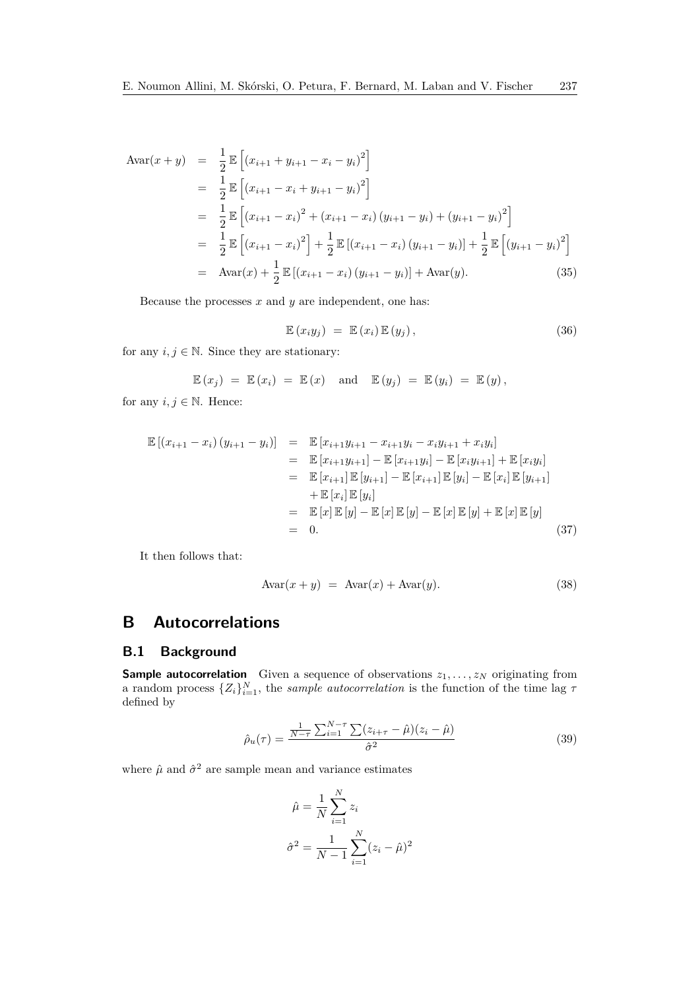$$
\begin{aligned}\n\text{Avar}(x+y) &= \frac{1}{2} \mathbb{E} \left[ (x_{i+1} + y_{i+1} - x_i - y_i)^2 \right] \\
&= \frac{1}{2} \mathbb{E} \left[ (x_{i+1} - x_i + y_{i+1} - y_i)^2 \right] \\
&= \frac{1}{2} \mathbb{E} \left[ (x_{i+1} - x_i)^2 + (x_{i+1} - x_i) (y_{i+1} - y_i) + (y_{i+1} - y_i)^2 \right] \\
&= \frac{1}{2} \mathbb{E} \left[ (x_{i+1} - x_i)^2 \right] + \frac{1}{2} \mathbb{E} \left[ (x_{i+1} - x_i) (y_{i+1} - y_i) \right] + \frac{1}{2} \mathbb{E} \left[ (y_{i+1} - y_i)^2 \right] \\
&= \text{Avar}(x) + \frac{1}{2} \mathbb{E} \left[ (x_{i+1} - x_i) (y_{i+1} - y_i) \right] + \text{Avar}(y).\n\end{aligned} \tag{35}
$$

Because the processes *x* and *y* are independent, one has:

$$
\mathbb{E}(x_i y_j) = \mathbb{E}(x_i) \mathbb{E}(y_j), \qquad (36)
$$

for any  $i, j \in \mathbb{N}$ . Since they are stationary:

$$
\mathbb{E}(x_j) = \mathbb{E}(x_i) = \mathbb{E}(x) \text{ and } \mathbb{E}(y_j) = \mathbb{E}(y_i) = \mathbb{E}(y),
$$

for any  $i, j \in \mathbb{N}$ . Hence:

$$
\mathbb{E}[(x_{i+1} - x_i) (y_{i+1} - y_i)] = \mathbb{E}[x_{i+1}y_{i+1} - x_{i+1}y_i - x_iy_{i+1} + x_iy_i]
$$
  
\n
$$
= \mathbb{E}[x_{i+1}y_{i+1}] - \mathbb{E}[x_{i+1}y_i] - \mathbb{E}[x_iy_{i+1}] + \mathbb{E}[x_iy_i]
$$
  
\n
$$
= \mathbb{E}[x_{i+1}] \mathbb{E}[y_{i+1}] - \mathbb{E}[x_{i+1}] \mathbb{E}[y_i] - \mathbb{E}[x_i] \mathbb{E}[y_{i+1}]
$$
  
\n
$$
+ \mathbb{E}[x_i] \mathbb{E}[y_i]
$$
  
\n
$$
= \mathbb{E}[x] \mathbb{E}[y] - \mathbb{E}[x] \mathbb{E}[y] - \mathbb{E}[x] \mathbb{E}[y] + \mathbb{E}[x] \mathbb{E}[y]
$$
  
\n
$$
= 0.
$$
\n(37)

It then follows that:

$$
Avar(x + y) = Avar(x) + Avar(y).
$$
 (38)

## <span id="page-23-0"></span>**B Autocorrelations**

### **B.1 Background**

**Sample autocorrelation** Given a sequence of observations *z*1*, . . . , z<sup>N</sup>* originating from a random process  $\{Z_i\}_{i=1}^N$ , the *sample autocorrelation* is the function of the time lag  $\tau$ defined by

$$
\hat{\rho}_u(\tau) = \frac{\frac{1}{N-\tau} \sum_{i=1}^{N-\tau} \sum (z_{i+\tau} - \hat{\mu})(z_i - \hat{\mu})}{\hat{\sigma}^2}
$$
(39)

where  $\hat{\mu}$  and  $\hat{\sigma}^2$  are sample mean and variance estimates

<span id="page-23-1"></span>
$$
\hat{\mu} = \frac{1}{N} \sum_{i=1}^{N} z_i
$$

$$
\hat{\sigma}^2 = \frac{1}{N-1} \sum_{i=1}^{N} (z_i - \hat{\mu})^2
$$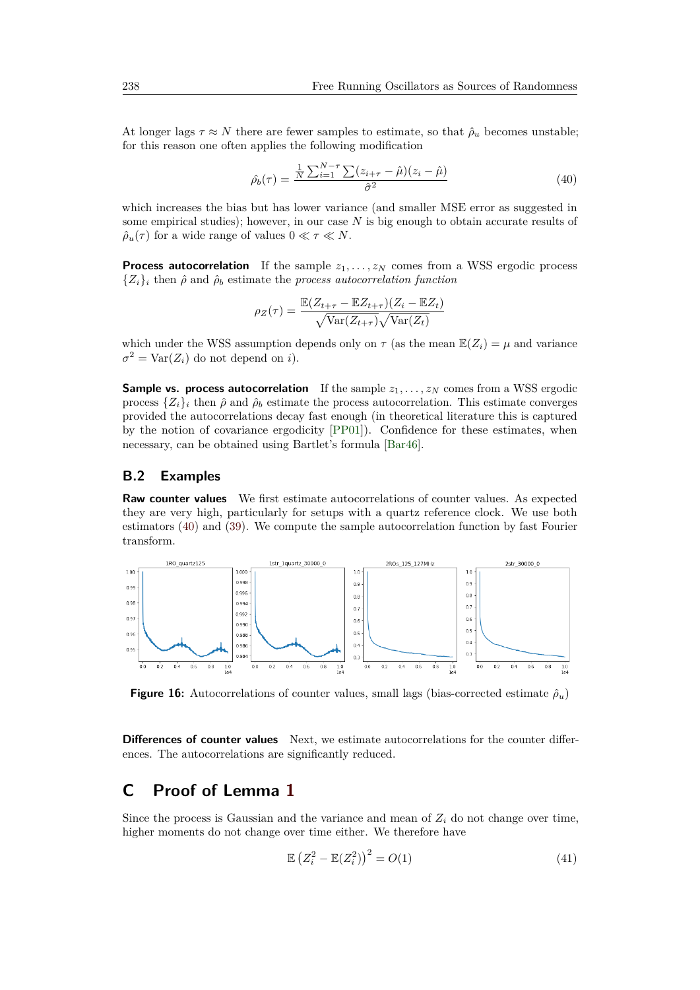At longer lags  $\tau \approx N$  there are fewer samples to estimate, so that  $\hat{\rho}_u$  becomes unstable; for this reason one often applies the following modification

<span id="page-24-1"></span>
$$
\hat{\rho_b}(\tau) = \frac{\frac{1}{N} \sum_{i=1}^{N-\tau} \sum_{i=1}^{N-\tau} (z_{i+\tau} - \hat{\mu})(z_i - \hat{\mu})}{\hat{\sigma}^2}
$$
\n(40)

which increases the bias but has lower variance (and smaller MSE error as suggested in some empirical studies); however, in our case *N* is big enough to obtain accurate results of  $\hat{\rho}_u(\tau)$  for a wide range of values  $0 \ll \tau \ll N$ .

**Process autocorrelation** If the sample  $z_1, \ldots, z_N$  comes from a WSS ergodic process  ${Z_i}_i$  then  $\hat{\rho}$  and  $\hat{\rho}_b$  estimate the *process autocorrelation function* 

$$
\rho_Z(\tau) = \frac{\mathbb{E}(Z_{t+\tau} - \mathbb{E}Z_{t+\tau})(Z_i - \mathbb{E}Z_t)}{\sqrt{\text{Var}(Z_{t+\tau})}\sqrt{\text{Var}(Z_t)}}
$$

which under the WSS assumption depends only on  $\tau$  (as the mean  $\mathbb{E}(Z_i) = \mu$  and variance  $\sigma^2 = \text{Var}(Z_i)$  do not depend on *i*).

**Sample vs. process autocorrelation** If the sample  $z_1, \ldots, z_N$  comes from a WSS ergodic process  $\{Z_i\}_i$  then  $\hat{\rho}$  and  $\hat{\rho}_b$  estimate the process autocorrelation. This estimate converges provided the autocorrelations decay fast enough (in theoretical literature this is captured by the notion of covariance ergodicity [\[PP01\]](#page-21-8)). Confidence for these estimates, when necessary, can be obtained using Bartlet's formula [\[Bar46\]](#page-19-7).

#### **B.2 Examples**

**Raw counter values** We first estimate autocorrelations of counter values. As expected they are very high, particularly for setups with a quartz reference clock. We use both estimators [\(40\)](#page-24-1) and [\(39\)](#page-23-1). We compute the sample autocorrelation function by fast Fourier transform.



**Figure 16:** Autocorrelations of counter values, small lags (bias-corrected estimate  $\hat{\rho}_u$ )

**Differences of counter values** Next, we estimate autocorrelations for the counter differences. The autocorrelations are significantly reduced.

## <span id="page-24-0"></span>**C Proof of Lemma [1](#page-11-1)**

Since the process is Gaussian and the variance and mean of  $Z_i$  do not change over time, higher moments do not change over time either. We therefore have

<span id="page-24-2"></span>
$$
\mathbb{E}\left(Z_i^2 - \mathbb{E}(Z_i^2)\right)^2 = O(1) \tag{41}
$$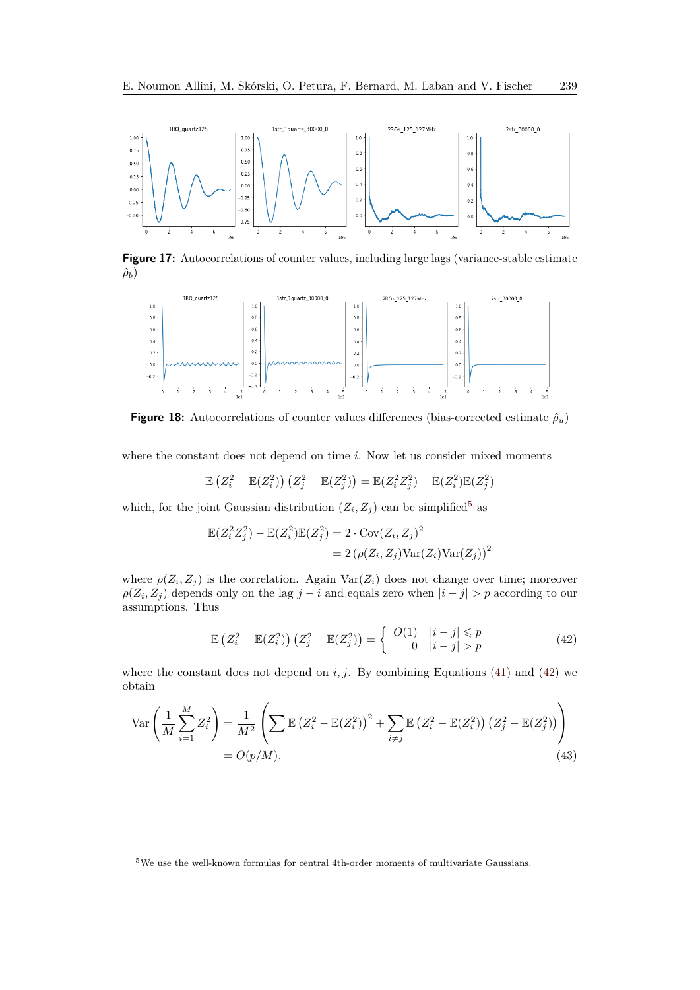

Figure 17: Autocorrelations of counter values, including large lags (variance-stable estimate  $\hat{\rho}_b$ )



**Figure 18:** Autocorrelations of counter values differences (bias-corrected estimate  $\hat{\rho}_u$ )

where the constant does not depend on time *i*. Now let us consider mixed moments

$$
\mathbb{E}\left(Z_i^2 - \mathbb{E}(Z_i^2)\right)\left(Z_j^2 - \mathbb{E}(Z_j^2)\right) = \mathbb{E}(Z_i^2 Z_j^2) - \mathbb{E}(Z_i^2)\mathbb{E}(Z_j^2)
$$

which, for the joint Gaussian distribution  $(Z_i, Z_j)$  can be simplified<sup>[5](#page-25-0)</sup> as

$$
\mathbb{E}(Z_i^2 Z_j^2) - \mathbb{E}(Z_i^2)\mathbb{E}(Z_j^2) = 2 \cdot \text{Cov}(Z_i, Z_j)^2
$$
  
= 2\left(\rho(Z\_i, Z\_j)\text{Var}(Z\_i)\text{Var}(Z\_j)\right)^2

where  $\rho(Z_i, Z_j)$  is the correlation. Again  $\text{Var}(Z_i)$  does not change over time; moreover  $\rho(Z_i, Z_j)$  depends only on the lag  $j - i$  and equals zero when  $|i - j| > p$  according to our assumptions. Thus

<span id="page-25-1"></span>
$$
\mathbb{E}\left(Z_i^2 - \mathbb{E}(Z_i^2)\right)\left(Z_j^2 - \mathbb{E}(Z_j^2)\right) = \begin{cases} O(1) & |i - j| \le p \\ 0 & |i - j| > p \end{cases} \tag{42}
$$

where the constant does not depend on  $i, j$ . By combining Equations [\(41\)](#page-24-2) and [\(42\)](#page-25-1) we obtain

$$
\operatorname{Var}\left(\frac{1}{M}\sum_{i=1}^{M}Z_{i}^{2}\right) = \frac{1}{M^{2}}\left(\sum E\left(Z_{i}^{2}-E(Z_{i}^{2})\right)^{2} + \sum_{i\neq j}E\left(Z_{i}^{2}-E(Z_{i}^{2})\right)\left(Z_{j}^{2}-E(Z_{j}^{2})\right)\right)
$$
  
=  $O(p/M).$  (43)

<span id="page-25-0"></span> $^{5}\mathrm{We}$  use the well-known formulas for central 4th-order moments of multivariate Gaussians.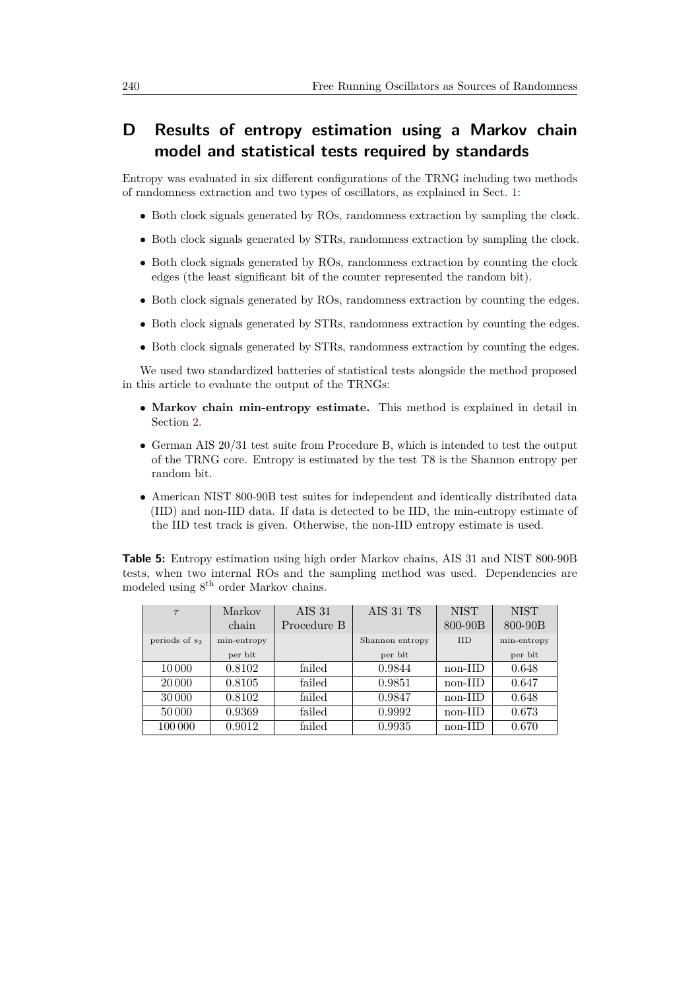## <span id="page-26-0"></span>**D Results of entropy estimation using a Markov chain model and statistical tests required by standards**

Entropy was evaluated in six different configurations of the TRNG including two methods of randomness extraction and two types of oscillators, as explained in Sect. [1:](#page-2-0)

- Both clock signals generated by ROs, randomness extraction by sampling the clock.
- Both clock signals generated by STRs, randomness extraction by sampling the clock.
- Both clock signals generated by ROs, randomness extraction by counting the clock edges (the least significant bit of the counter represented the random bit).
- Both clock signals generated by ROs, randomness extraction by counting the edges.
- Both clock signals generated by STRs, randomness extraction by counting the edges.
- Both clock signals generated by STRs, randomness extraction by counting the edges.

We used two standardized batteries of statistical tests alongside the method proposed in this article to evaluate the output of the TRNGs:

- **Markov chain min-entropy estimate.** This method is explained in detail in Section [2.](#page-8-0)
- German AIS 20/31 test suite from Procedure B, which is intended to test the output of the TRNG core. Entropy is estimated by the test T8 is the Shannon entropy per random bit.
- American NIST 800-90B test suites for independent and identically distributed data (IID) and non-IID data. If data is detected to be IID, the min-entropy estimate of the IID test track is given. Otherwise, the non-IID entropy estimate is used.

<span id="page-26-1"></span>**Table 5:** Entropy estimation using high order Markov chains, AIS 31 and NIST 800-90B tests, when two internal ROs and the sampling method was used. Dependencies are modeled using 8th order Markov chains.

| $\tau$           | Markov      | AIS 31      | AIS 31 T8       | <b>NIST</b> | <b>NIST</b> |
|------------------|-------------|-------------|-----------------|-------------|-------------|
|                  | chain       | Procedure B |                 | 800-90B     | 800-90B     |
| periods of $s_2$ | min-entropy |             | Shannon entropy | <b>IID</b>  | min-entropy |
|                  | per bit     |             | per bit         |             | per bit     |
| 10000            | 0.8102      | failed      | 0.9844          | non-IID     | 0.648       |
| 20 000           | 0.8105      | failed      | 0.9851          | $non-IID$   | 0.647       |
| 30 000           | 0.8102      | failed      | 0.9847          | non-IID     | 0.648       |
| 50000            | 0.9369      | failed      | 0.9992          | non-IID     | 0.673       |
| 100 000          | 0.9012      | failed      | 0.9935          | non-IID     | 0.670       |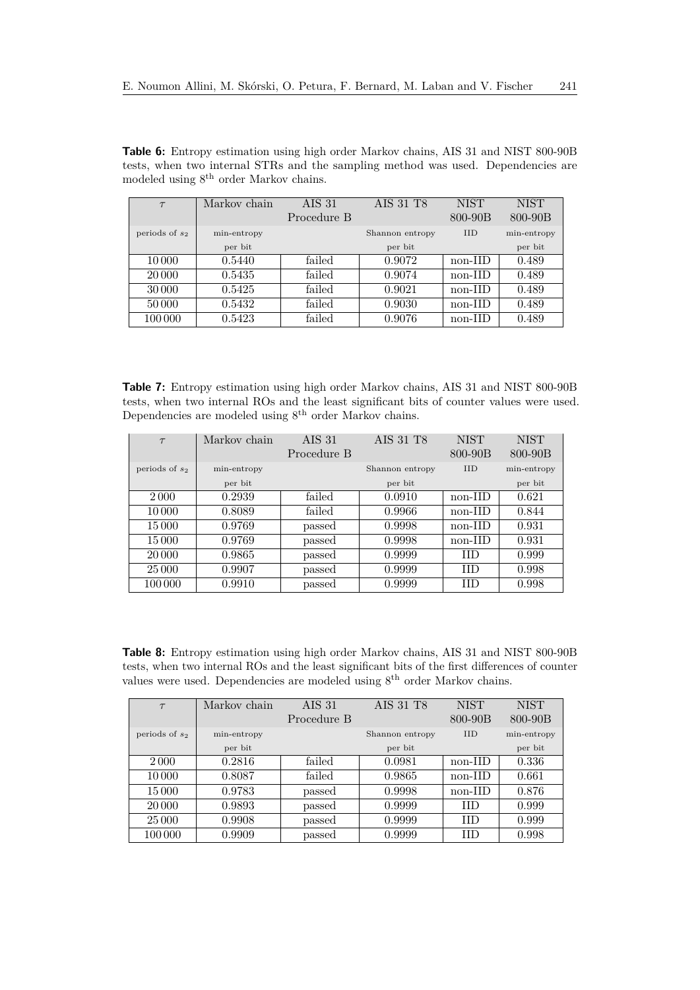| $\tau$           | Markov chain | <b>AIS 31</b> | AIS 31 T8       | <b>NIST</b> | <b>NIST</b> |
|------------------|--------------|---------------|-----------------|-------------|-------------|
|                  |              | Procedure B   |                 | 800-90B     | 800-90B     |
| periods of $s_2$ | min-entropy  |               | Shannon entropy | <b>IID</b>  | min-entropy |
|                  | per bit      |               | per bit         |             | per bit     |
| 10 000           | 0.5440       | failed        | 0.9072          | non-IID     | 0.489       |
| 20 000           | 0.5435       | failed        | 0.9074          | non-IID     | 0.489       |
| 30 000           | 0.5425       | failed        | 0.9021          | non-IID     | 0.489       |
| 50000            | 0.5432       | failed        | 0.9030          | $non-IID$   | 0.489       |
| 100 000          | 0.5423       | failed        | 0.9076          | non-IID     | 0.489       |

**Table 6:** Entropy estimation using high order Markov chains, AIS 31 and NIST 800-90B tests, when two internal STRs and the sampling method was used. Dependencies are modeled using 8th order Markov chains.

<span id="page-27-0"></span>**Table 7:** Entropy estimation using high order Markov chains, AIS 31 and NIST 800-90B tests, when two internal ROs and the least significant bits of counter values were used. Dependencies are modeled using  $8<sup>th</sup>$  order Markov chains.

| $\tau$           | Markov chain | AIS <sub>31</sub> | AIS 31 T8       | <b>NIST</b> | <b>NIST</b> |
|------------------|--------------|-------------------|-----------------|-------------|-------------|
|                  |              | Procedure B       |                 | $800 - 90B$ | $800 - 90B$ |
| periods of $s_2$ | min-entropy  |                   | Shannon entropy | <b>IID</b>  | min-entropy |
|                  | per bit      |                   | per bit         |             | per bit     |
| 2000             | 0.2939       | failed            | 0.0910          | non-IID     | 0.621       |
| 10000            | 0.8089       | failed            | 0.9966          | non-IID     | 0.844       |
| 15000            | 0.9769       | passed            | 0.9998          | non-IID     | 0.931       |
| 15 000           | 0.9769       | passed            | 0.9998          | non-IID     | 0.931       |
| 20 000           | 0.9865       | passed            | 0.9999          | <b>IID</b>  | 0.999       |
| 25 000           | 0.9907       | passed            | 0.9999          | <b>IID</b>  | 0.998       |
| 100 000          | 0.9910       | passed            | 0.9999          | <b>IID</b>  | 0.998       |

**Table 8:** Entropy estimation using high order Markov chains, AIS 31 and NIST 800-90B tests, when two internal ROs and the least significant bits of the first differences of counter values were used. Dependencies are modeled using  $8<sup>th</sup>$  order Markov chains.

| $\tau$           | Markov chain | AIS <sub>31</sub> | AIS 31 T8       | <b>NIST</b> | <b>NIST</b> |
|------------------|--------------|-------------------|-----------------|-------------|-------------|
|                  |              | Procedure B       |                 | 800-90B     | $800 - 90B$ |
| periods of $s_2$ | min-entropy  |                   | Shannon entropy | <b>IID</b>  | min-entropy |
|                  | per bit      |                   | per bit         |             | per bit     |
| 2000             | 0.2816       | failed            | 0.0981          | non-IID     | 0.336       |
| 10000            | 0.8087       | failed            | 0.9865          | non-IID     | 0.661       |
| 15 000           | 0.9783       | passed            | 0.9998          | $non-III$   | 0.876       |
| 20 000           | 0.9893       | passed            | 0.9999          | <b>IID</b>  | 0.999       |
| 25 000           | 0.9908       | passed            | 0.9999          | <b>IID</b>  | 0.999       |
| 100 000          | 0.9909       | passed            | 0.9999          | <b>IID</b>  | 0.998       |